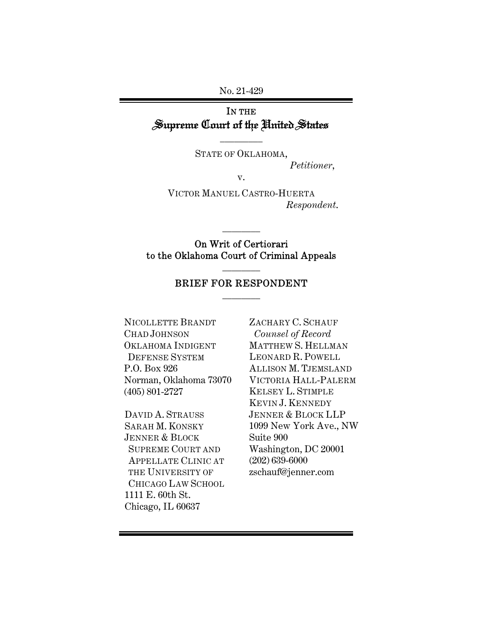No. 21-429

# IN THE Supreme Court of the United States

 $\overline{\phantom{a}}$  . The set of  $\overline{\phantom{a}}$ 

STATE OF OKLAHOMA, Petitioner,

v.

VICTOR MANUEL CASTRO-HUERTA Respondent.

On Writ of Certiorari to the Oklahoma Court of Criminal Appeals

 $\overline{\phantom{a}}$   $\overline{\phantom{a}}$ 

### BRIEF FOR RESPONDENT  $\overline{\phantom{a}}$   $\overline{\phantom{a}}$

 $\overline{\phantom{a}}$   $\overline{\phantom{a}}$ 

NICOLLETTE BRANDT CHAD JOHNSON OKLAHOMA INDIGENT DEFENSE SYSTEM P.O. Box 926 Norman, Oklahoma 73070 (405) 801-2727

DAVID A. STRAUSS SARAH M. KONSKY JENNER & BLOCK SUPREME COURT AND APPELLATE CLINIC AT THE UNIVERSITY OF CHICAGO LAW SCHOOL 1111 E. 60th St. Chicago, IL 60637

ZACHARY C. SCHAUF Counsel of Record MATTHEW S. HELLMAN LEONARD R. POWELL ALLISON M. TJEMSLAND VICTORIA HALL-PALERM KELSEY L. STIMPLE KEVIN J. KENNEDY JENNER & BLOCK LLP 1099 New York Ave., NW Suite 900 Washington, DC 20001 (202) 639-6000 zschauf@jenner.com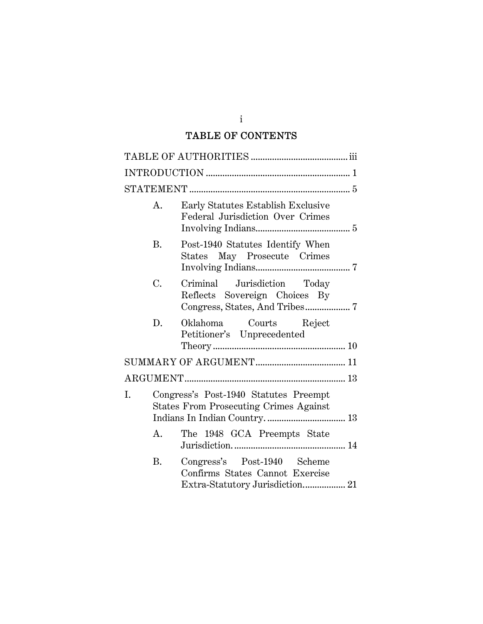# TABLE OF CONTENTS

|    | A.        | Early Statutes Establish Exclusive<br>Federal Jurisdiction Over Crimes                 |
|----|-----------|----------------------------------------------------------------------------------------|
|    | <b>B.</b> | Post-1940 Statutes Identify When<br>States May Prosecute Crimes                        |
|    | C.        | Criminal Jurisdiction Today<br>Reflects Sovereign Choices By                           |
|    | D.        | Oklahoma Courts Reject<br>Petitioner's Unprecedented                                   |
|    |           |                                                                                        |
|    |           |                                                                                        |
| I. |           | Congress's Post-1940 Statutes Preempt<br><b>States From Prosecuting Crimes Against</b> |
|    | A.        | The 1948 GCA Preempts State                                                            |
|    | B.        | Congress's Post-1940 Scheme<br>Confirms States Cannot Exercise                         |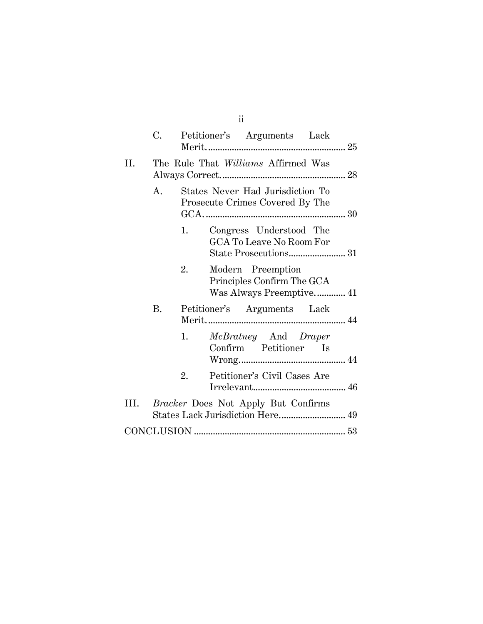|     | C.        |    | Petitioner's Arguments Lack                                         |  |
|-----|-----------|----|---------------------------------------------------------------------|--|
| II. |           |    | The Rule That Williams Affirmed Was                                 |  |
|     | A.        |    | States Never Had Jurisdiction To<br>Prosecute Crimes Covered By The |  |
|     |           | 1. | Congress Understood The<br>GCA To Leave No Room For                 |  |
|     |           | 2. | Modern Preemption<br>Principles Confirm The GCA                     |  |
|     | <b>B.</b> |    | Petitioner's Arguments Lack                                         |  |
|     |           | 1. | McBratney And Draper<br>Confirm Petitioner Is                       |  |
|     |           | 2. | Petitioner's Civil Cases Are                                        |  |
|     |           |    | III. Bracker Does Not Apply But Confirms                            |  |
|     |           |    |                                                                     |  |

ii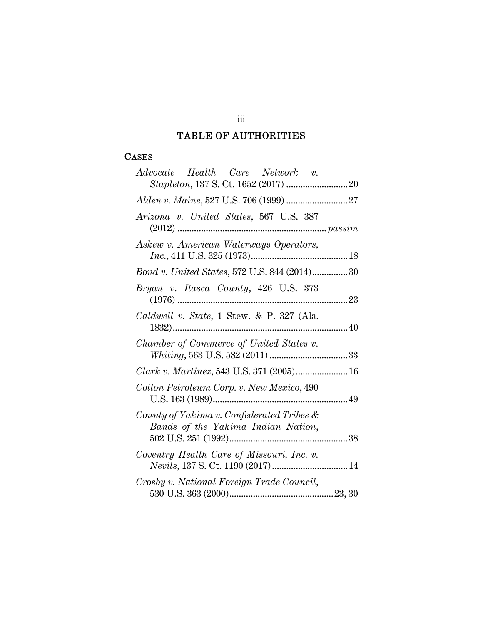# TABLE OF AUTHORITIES

### **CASES**

| Advocate Health Care Network v.                                                 |
|---------------------------------------------------------------------------------|
|                                                                                 |
|                                                                                 |
| Arizona v. United States, 567 U.S. 387                                          |
| Askew v. American Waterways Operators,                                          |
| Bond v. United States, 572 U.S. 844 (2014)30                                    |
| Bryan v. Itasca County, 426 U.S. 373                                            |
| Caldwell v. State, 1 Stew. & P. 327 (Ala.                                       |
| Chamber of Commerce of United States v.                                         |
| Clark v. Martinez, 543 U.S. 371 (2005) 16                                       |
| Cotton Petroleum Corp. v. New Mexico, 490                                       |
| County of Yakima v. Confederated Tribes &<br>Bands of the Yakima Indian Nation, |
| Coventry Health Care of Missouri, Inc. v.                                       |
| Crosby v. National Foreign Trade Council,                                       |

# iii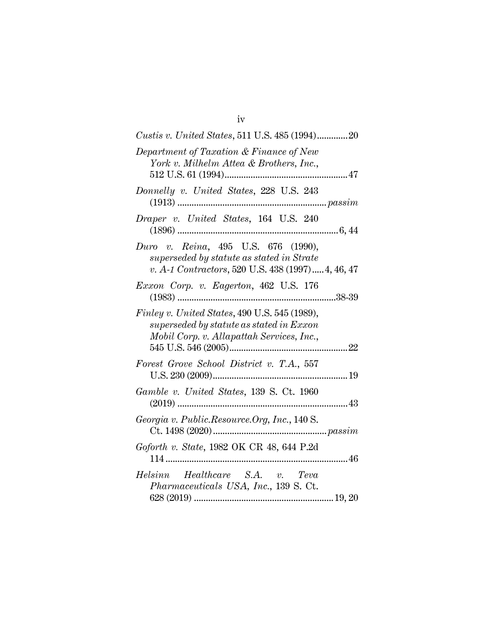| Custis v. United States, 511 U.S. 485 (1994)20                                                                                         |
|----------------------------------------------------------------------------------------------------------------------------------------|
| Department of Taxation & Finance of New<br>York v. Milhelm Attea & Brothers, Inc.,                                                     |
| Donnelly v. United States, 228 U.S. 243                                                                                                |
| Draper v. United States, 164 U.S. 240                                                                                                  |
| Duro v. Reina, 495 U.S. 676 (1990),<br>superseded by statute as stated in Strate<br>v. A-1 Contractors, 520 U.S. 438 (1997) 4, 46, 47  |
| Exxon Corp. v. Eagerton, 462 U.S. 176                                                                                                  |
| Finley v. United States, 490 U.S. 545 (1989),<br>superseded by statute as stated in Exxon<br>Mobil Corp. v. Allapattah Services, Inc., |
| Forest Grove School District v. T.A., 557                                                                                              |
| Gamble v. United States, 139 S. Ct. 1960                                                                                               |
| Georgia v. Public.Resource.Org, Inc., 140 S.                                                                                           |
| Goforth v. State, 1982 OK CR 48, 644 P.2d                                                                                              |
| Helsinn Healthcare S.A. v. Teva<br>Pharmaceuticals USA, Inc., 139 S. Ct.                                                               |

iv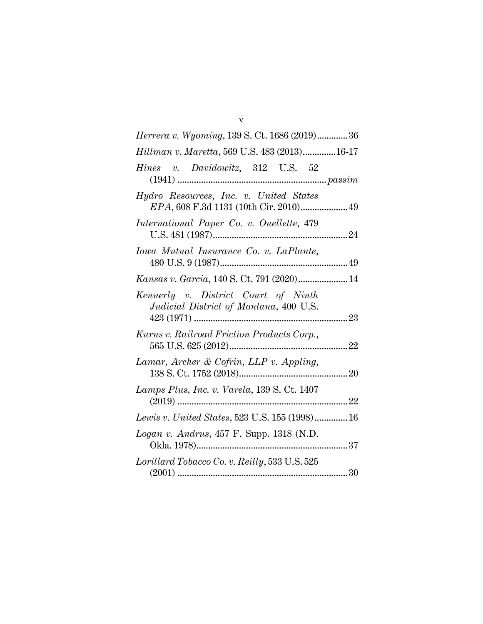| <i>Herrera v. Wyoming, 139 S. Ct. 1686 (2019)36</i> |
|-----------------------------------------------------|
| Hillman v. Maretta, 569 U.S. 483 (2013)16-17        |
|                                                     |
| EPA, 608 F.3d 1131 (10th Cir. 2010) 49              |
|                                                     |
|                                                     |
| Kansas v. Garcia, 140 S. Ct. 791 (2020) 14          |
|                                                     |
|                                                     |
|                                                     |
|                                                     |
| Lewis v. United States, 523 U.S. 155 (1998) 16      |
|                                                     |
|                                                     |
|                                                     |

v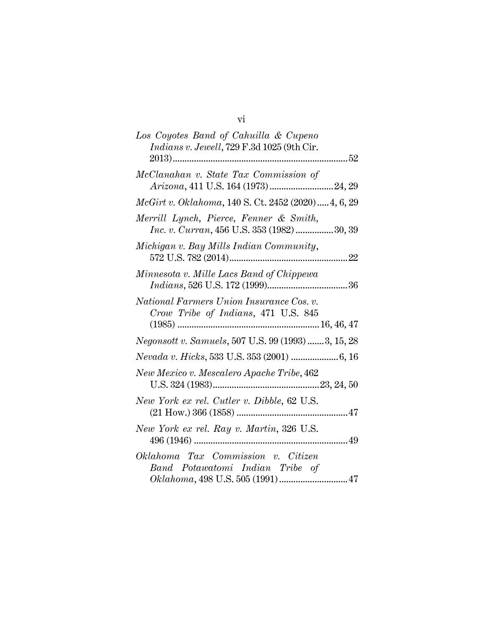| Los Coyotes Band of Cahuilla & Cupeno<br>Indians v. Jewell, 729 F.3d 1025 (9th Cir.         |
|---------------------------------------------------------------------------------------------|
|                                                                                             |
| McClanahan v. State Tax Commission of                                                       |
| McGirt v. Oklahoma, 140 S. Ct. 2452 (2020) 4, 6, 29                                         |
| Merrill Lynch, Pierce, Fenner & Smith,<br><i>Inc. v. Curran,</i> 456 U.S. 353 (1982) 30, 39 |
| Michigan v. Bay Mills Indian Community,                                                     |
| Minnesota v. Mille Lacs Band of Chippewa                                                    |
| National Farmers Union Insurance Cos. v.<br>Crow Tribe of Indians, 471 U.S. 845             |
| Negonsott v. Samuels, 507 U.S. 99 (1993) 3, 15, 28                                          |
|                                                                                             |
| New Mexico v. Mescalero Apache Tribe, 462                                                   |
| New York ex rel. Cutler v. Dibble, 62 U.S.                                                  |
| New York ex rel. Ray v. Martin, 326 U.S.                                                    |
| Oklahoma Tax Commission v. Citizen<br>Band Potawatomi Indian Tribe of                       |

# vi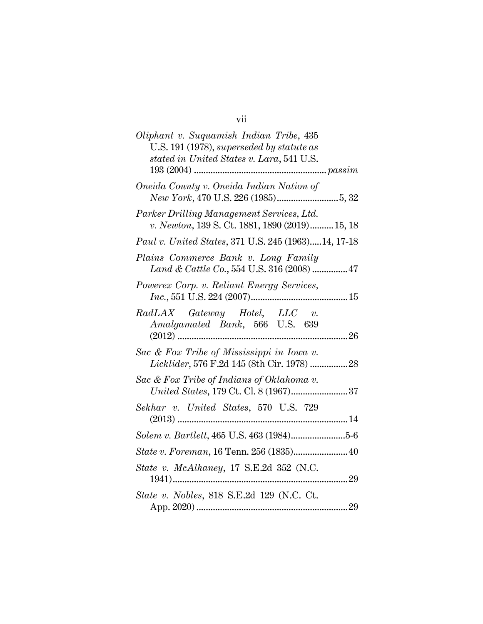# vii

| Oliphant v. Suquamish Indian Tribe, 435<br>U.S. 191 (1978), superseded by statute as<br>stated in United States v. Lara, 541 U.S. |
|-----------------------------------------------------------------------------------------------------------------------------------|
| Oneida County v. Oneida Indian Nation of                                                                                          |
| Parker Drilling Management Services, Ltd.<br>v. Newton, 139 S. Ct. 1881, 1890 (2019) 15, 18                                       |
| Paul v. United States, 371 U.S. 245 (1963)14, 17-18                                                                               |
| Plains Commerce Bank v. Long Family<br>Land & Cattle Co., 554 U.S. 316 (2008)  47                                                 |
| Powerex Corp. v. Reliant Energy Services,                                                                                         |
| RadLAX Gateway Hotel, LLC v.<br>Amalgamated Bank, 566 U.S. 639                                                                    |
| Sac & Fox Tribe of Mississippi in Iowa v.<br>Licklider, 576 F.2d 145 (8th Cir. 1978) 28                                           |
| Sac & Fox Tribe of Indians of Oklahoma v.<br>United States, 179 Ct. Cl. 8 (1967)37                                                |
| Sekhar v. United States, 570 U.S. 729                                                                                             |
|                                                                                                                                   |
| State v. Foreman, 16 Tenn. 256 (1835) 40                                                                                          |
| State v. McAlhaney, 17 S.E.2d 352 (N.C.                                                                                           |
| State v. Nobles, 818 S.E.2d 129 (N.C. Ct.                                                                                         |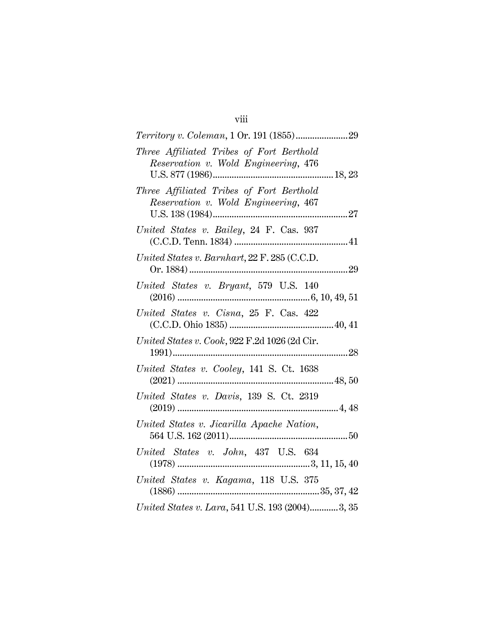| I |
|---|
|   |
|   |
|   |
|   |

| Three Affiliated Tribes of Fort Berthold                                         |
|----------------------------------------------------------------------------------|
| Reservation v. Wold Engineering, 476                                             |
| Three Affiliated Tribes of Fort Berthold<br>Reservation v. Wold Engineering, 467 |
|                                                                                  |
| United States v. Bailey, 24 F. Cas. 937                                          |
| United States v. Barnhart, 22 F. 285 (C.C.D.                                     |
| United States v. Bryant, 579 U.S. 140                                            |
| United States v. Cisna, 25 F. Cas. 422                                           |
| United States v. Cook, $922$ F.2d 1026 (2d Cir.                                  |
| United States v. Cooley, 141 S. Ct. 1638                                         |
| United States v. Davis, 139 S. Ct. 2319                                          |
| United States v. Jicarilla Apache Nation,                                        |
| United States v. John, 437 U.S. 634                                              |
| United States v. Kagama, 118 U.S. 375                                            |
| United States v. Lara, 541 U.S. 193 (2004)3, 35                                  |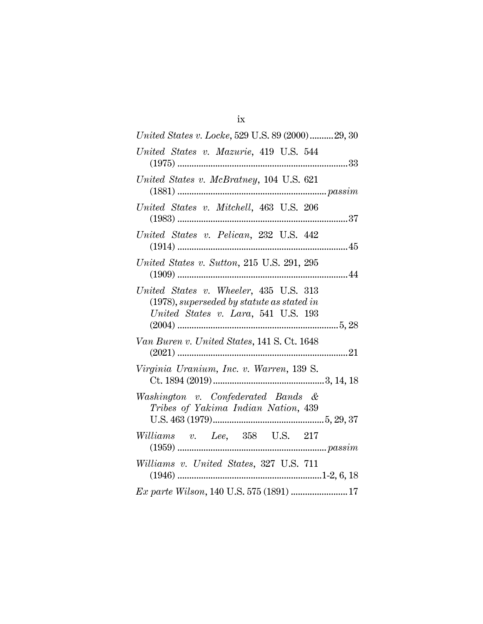| United States v. Locke, 529 U.S. 89 (2000)29, 30                                                                               |
|--------------------------------------------------------------------------------------------------------------------------------|
| United States v. Mazurie, 419 U.S. 544                                                                                         |
| United States v. McBratney, 104 U.S. 621                                                                                       |
| United States v. Mitchell, 463 U.S. 206                                                                                        |
| United States v. Pelican, 232 U.S. 442                                                                                         |
| United States v. Sutton, 215 U.S. 291, 295                                                                                     |
| United States v. Wheeler, 435 U.S. 313<br>$(1978)$ , superseded by statute as stated in<br>United States v. Lara, 541 U.S. 193 |
| Van Buren v. United States, 141 S. Ct. 1648                                                                                    |
| Virginia Uranium, Inc. v. Warren, 139 S.                                                                                       |
| Washington v. Confederated Bands &<br>Tribes of Yakima Indian Nation, 439                                                      |
| Williams v. Lee, 358 U.S. 217                                                                                                  |
| Williams v. United States, 327 U.S. 711                                                                                        |
| Ex parte Wilson, 140 U.S. 575 (1891)  17                                                                                       |

ix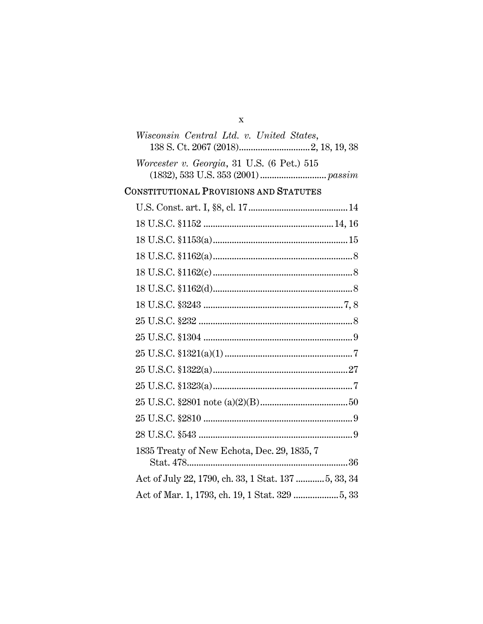| X                                          |
|--------------------------------------------|
| Wisconsin Central Ltd. v. United States,   |
|                                            |
| Worcester v. Georgia, 31 U.S. (6 Pet.) 515 |
|                                            |

# CONSTITUTIONAL PROVISIONS AND STATUTES

| 1835 Treaty of New Echota, Dec. 29, 1835, 7          |
|------------------------------------------------------|
| Act of July 22, 1790, ch. 33, 1 Stat. 137  5, 33, 34 |
|                                                      |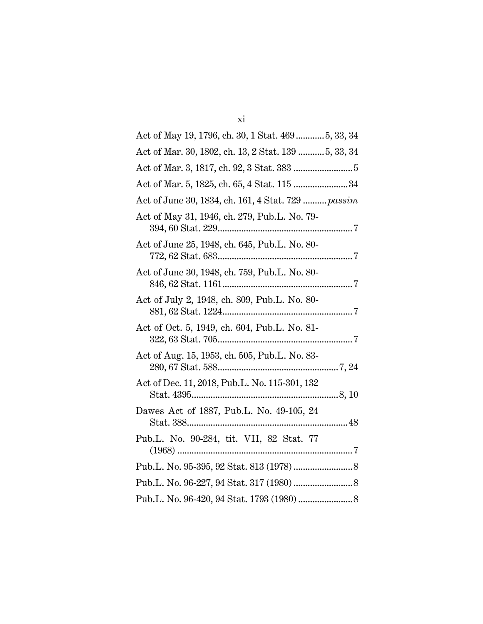| Act of May 19, 1796, ch. 30, 1 Stat. 469  5, 33, 34  |
|------------------------------------------------------|
| Act of Mar. 30, 1802, ch. 13, 2 Stat. 139  5, 33, 34 |
|                                                      |
| Act of Mar. 5, 1825, ch. 65, 4 Stat. 115 34          |
| Act of June 30, 1834, ch. 161, 4 Stat. 729  passim   |
| Act of May 31, 1946, ch. 279, Pub.L. No. 79-         |
| Act of June 25, 1948, ch. 645, Pub.L. No. 80-        |
| Act of June 30, 1948, ch. 759, Pub.L. No. 80-        |
| Act of July 2, 1948, ch. 809, Pub.L. No. 80-         |
| Act of Oct. 5, 1949, ch. 604, Pub.L. No. 81-         |
| Act of Aug. 15, 1953, ch. 505, Pub.L. No. 83-        |
| Act of Dec. 11, 2018, Pub.L. No. 115-301, 132        |
| Dawes Act of 1887, Pub.L. No. 49-105, 24             |
| Pub.L. No. 90-284, tit. VII, 82 Stat. 77             |
|                                                      |
|                                                      |
|                                                      |

xi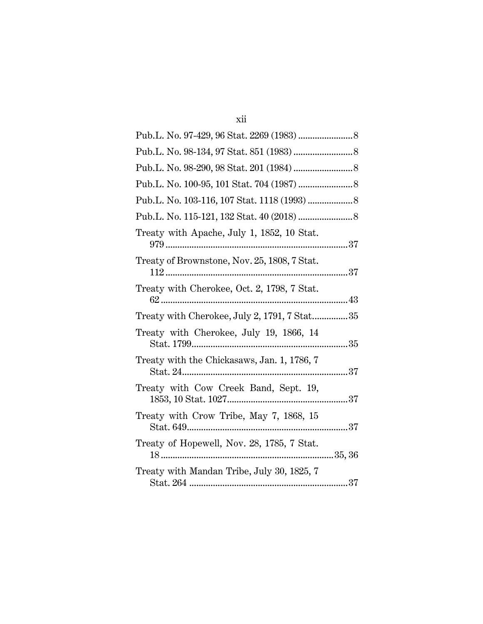| v. |  |
|----|--|
|    |  |

| Treaty with Apache, July 1, 1852, 10 Stat.   |
|----------------------------------------------|
| Treaty of Brownstone, Nov. 25, 1808, 7 Stat. |
| Treaty with Cherokee, Oct. 2, 1798, 7 Stat.  |
| Treaty with Cherokee, July 2, 1791, 7 Stat35 |
| Treaty with Cherokee, July 19, 1866, 14      |
| Treaty with the Chickasaws, Jan. 1, 1786, 7  |
| Treaty with Cow Creek Band, Sept. 19,        |
| Treaty with Crow Tribe, May 7, 1868, 15      |
| Treaty of Hopewell, Nov. 28, 1785, 7 Stat.   |
| Treaty with Mandan Tribe, July 30, 1825, 7   |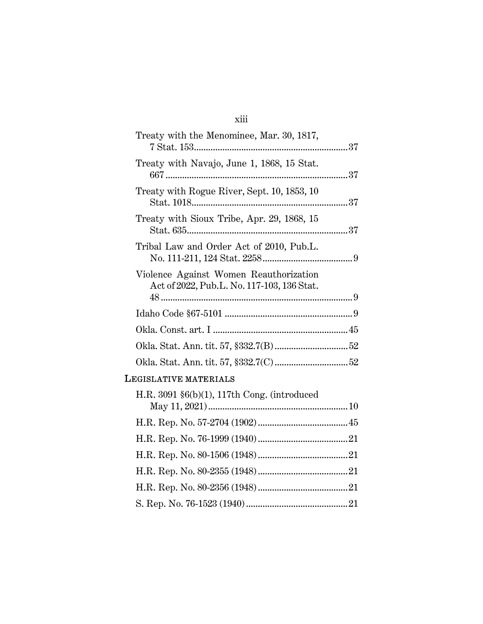# xiii

| Treaty with the Menominee, Mar. 30, 1817,                                            |  |
|--------------------------------------------------------------------------------------|--|
| Treaty with Navajo, June 1, 1868, 15 Stat.                                           |  |
| Treaty with Rogue River, Sept. 10, 1853, 10                                          |  |
| Treaty with Sioux Tribe, Apr. 29, 1868, 15                                           |  |
| Tribal Law and Order Act of 2010, Pub.L.                                             |  |
| Violence Against Women Reauthorization<br>Act of 2022, Pub.L. No. 117-103, 136 Stat. |  |
|                                                                                      |  |
|                                                                                      |  |
|                                                                                      |  |
|                                                                                      |  |
|                                                                                      |  |

# LEGISLATIVE MATERIALS

| H.R. 3091 $\S6(b)(1)$ , 117th Cong. (introduced |  |
|-------------------------------------------------|--|
|                                                 |  |
|                                                 |  |
|                                                 |  |
|                                                 |  |
|                                                 |  |
|                                                 |  |
|                                                 |  |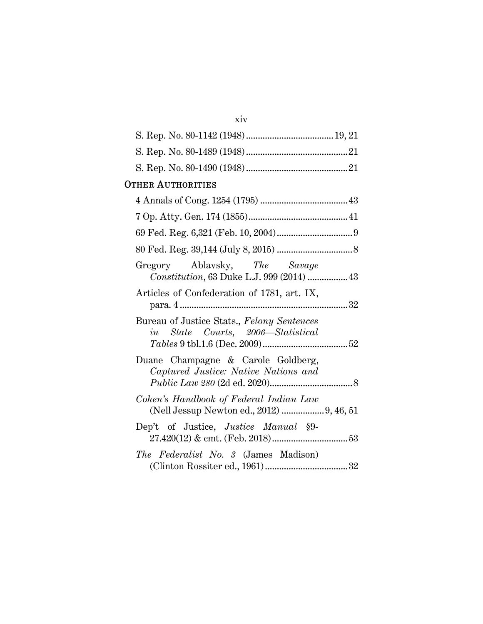| <b>OTHER AUTHORITIES</b>                                                               |  |
|----------------------------------------------------------------------------------------|--|
|                                                                                        |  |
|                                                                                        |  |
|                                                                                        |  |
|                                                                                        |  |
| Gregory Ablavsky, The Savage<br>Constitution, 63 Duke L.J. 999 (2014)  43              |  |
| Articles of Confederation of 1781, art. IX,                                            |  |
| Bureau of Justice Stats., Felony Sentences<br><i>in</i> State Courts, 2006—Statistical |  |
| Duane Champagne & Carole Goldberg,<br>Captured Justice: Native Nations and             |  |
| Cohen's Handbook of Federal Indian Law<br>(Nell Jessup Newton ed., 2012)  9, 46, 51    |  |
| Dep't of Justice, <i>Justice Manual</i> §9-                                            |  |
| The Federalist No. 3 (James Madison)                                                   |  |

xiv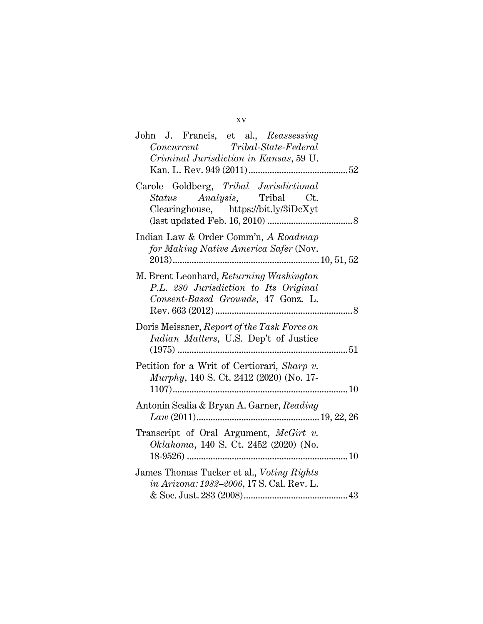| John J. Francis, et al., Reassessing<br>$\label{eq:concurrent} Concurrent \hspace{1cm} Tribal-State-Federal$<br>Criminal Jurisdiction in Kansas, 59 U. |
|--------------------------------------------------------------------------------------------------------------------------------------------------------|
| Carole Goldberg, Tribal Jurisdictional<br><i>Status Analysis</i> , Tribal Ct.<br>Clearinghouse, https://bit.ly/3iDcXyt                                 |
| Indian Law & Order Comm'n, A Roadmap<br>for Making Native America Safer (Nov.                                                                          |
| M. Brent Leonhard, Returning Washington<br>P.L. 280 Jurisdiction to Its Original<br>Consent-Based Grounds, 47 Gonz. L.                                 |
| Doris Meissner, Report of the Task Force on<br>Indian Matters, U.S. Dep't of Justice                                                                   |
| Petition for a Writ of Certiorari, Sharp v.<br><i>Murphy</i> , 140 S. Ct. 2412 (2020) (No. 17-                                                         |
| Antonin Scalia & Bryan A. Garner, Reading                                                                                                              |
| Transcript of Oral Argument, <i>McGirt v.</i><br>Oklahoma, 140 S. Ct. 2452 (2020) (No.                                                                 |
| James Thomas Tucker et al., Voting Rights<br>in Arizona: 1982-2006, 17 S. Cal. Rev. L.                                                                 |

### xv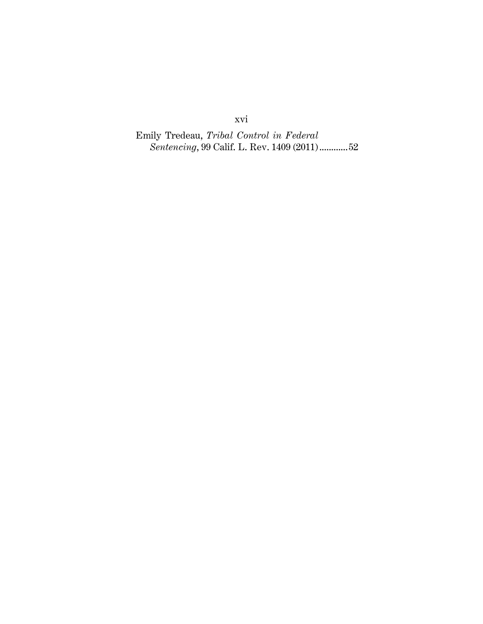xvi

Emily Tredeau, Tribal Control in Federal Sentencing, 99 Calif. L. Rev. 1409 (2011) ............ 52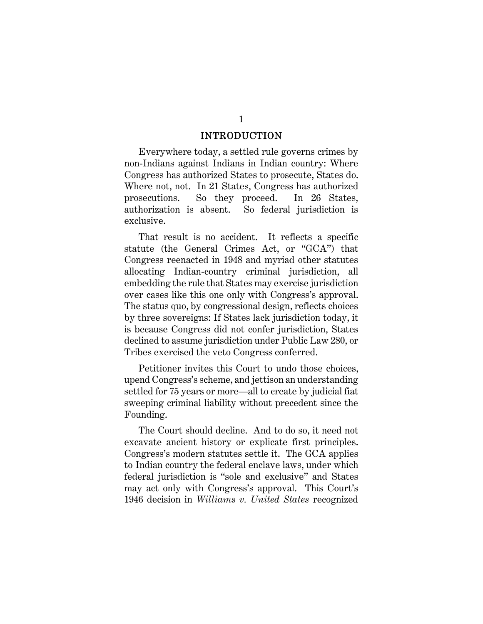#### **INTRODUCTION**

Everywhere today, a settled rule governs crimes by non-Indians against Indians in Indian country: Where Congress has authorized States to prosecute, States do. Where not, not. In 21 States, Congress has authorized prosecutions. So they proceed. In 26 States, authorization is absent. So federal jurisdiction is exclusive.

That result is no accident. It reflects a specific statute (the General Crimes Act, or "GCA") that Congress reenacted in 1948 and myriad other statutes allocating Indian-country criminal jurisdiction, all embedding the rule that States may exercise jurisdiction over cases like this one only with Congress's approval. The status quo, by congressional design, reflects choices by three sovereigns: If States lack jurisdiction today, it is because Congress did not confer jurisdiction, States declined to assume jurisdiction under Public Law 280, or Tribes exercised the veto Congress conferred.

Petitioner invites this Court to undo those choices, upend Congress's scheme, and jettison an understanding settled for 75 years or more—all to create by judicial fiat sweeping criminal liability without precedent since the Founding.

The Court should decline. And to do so, it need not excavate ancient history or explicate first principles. Congress's modern statutes settle it. The GCA applies to Indian country the federal enclave laws, under which federal jurisdiction is "sole and exclusive" and States may act only with Congress's approval. This Court's 1946 decision in Williams v. United States recognized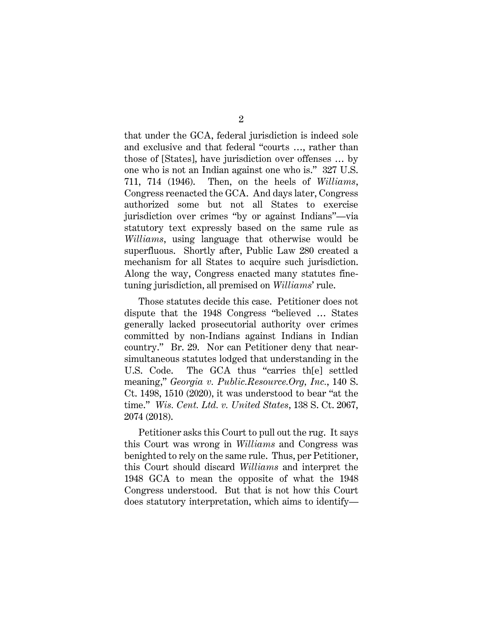that under the GCA, federal jurisdiction is indeed sole and exclusive and that federal "courts …, rather than those of [States], have jurisdiction over offenses … by one who is not an Indian against one who is." 327 U.S. 711, 714 (1946). Then, on the heels of Williams, Congress reenacted the GCA. And days later, Congress authorized some but not all States to exercise jurisdiction over crimes "by or against Indians"—via statutory text expressly based on the same rule as Williams, using language that otherwise would be superfluous. Shortly after, Public Law 280 created a mechanism for all States to acquire such jurisdiction. Along the way, Congress enacted many statutes finetuning jurisdiction, all premised on Williams' rule.

Those statutes decide this case. Petitioner does not dispute that the 1948 Congress "believed … States generally lacked prosecutorial authority over crimes committed by non-Indians against Indians in Indian country." Br. 29. Nor can Petitioner deny that nearsimultaneous statutes lodged that understanding in the U.S. Code. The GCA thus "carries th[e] settled meaning," Georgia v. Public.Resource.Org, Inc., 140 S. Ct. 1498, 1510 (2020), it was understood to bear "at the time." Wis. Cent. Ltd. v. United States, 138 S. Ct. 2067, 2074 (2018).

Petitioner asks this Court to pull out the rug. It says this Court was wrong in Williams and Congress was benighted to rely on the same rule. Thus, per Petitioner, this Court should discard Williams and interpret the 1948 GCA to mean the opposite of what the 1948 Congress understood. But that is not how this Court does statutory interpretation, which aims to identify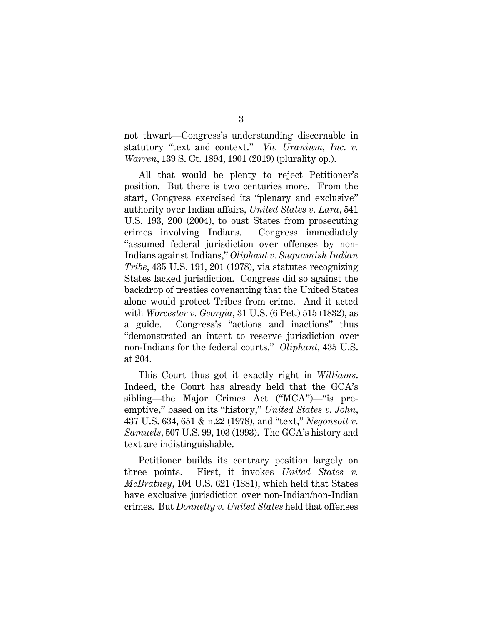not thwart—Congress's understanding discernable in statutory "text and context." Va. Uranium, Inc. v. Warren, 139 S. Ct. 1894, 1901 (2019) (plurality op.).

All that would be plenty to reject Petitioner's position. But there is two centuries more. From the start, Congress exercised its "plenary and exclusive" authority over Indian affairs, United States v. Lara, 541 U.S. 193, 200 (2004), to oust States from prosecuting crimes involving Indians. Congress immediately "assumed federal jurisdiction over offenses by non-Indians against Indians," Oliphant v. Suquamish Indian Tribe, 435 U.S. 191, 201 (1978), via statutes recognizing States lacked jurisdiction. Congress did so against the backdrop of treaties covenanting that the United States alone would protect Tribes from crime. And it acted with Worcester v. Georgia, 31 U.S. (6 Pet.) 515 (1832), as a guide. Congress's "actions and inactions" thus "demonstrated an intent to reserve jurisdiction over non-Indians for the federal courts." Oliphant, 435 U.S. at 204.

This Court thus got it exactly right in Williams. Indeed, the Court has already held that the GCA's sibling—the Major Crimes Act ("MCA")—"is preemptive," based on its "history," United States v. John, 437 U.S. 634, 651 & n.22 (1978), and "text," Negonsott v. Samuels, 507 U.S. 99, 103 (1993). The GCA's history and text are indistinguishable.

Petitioner builds its contrary position largely on three points. First, it invokes United States v. McBratney, 104 U.S. 621 (1881), which held that States have exclusive jurisdiction over non-Indian/non-Indian crimes. But Donnelly v. United States held that offenses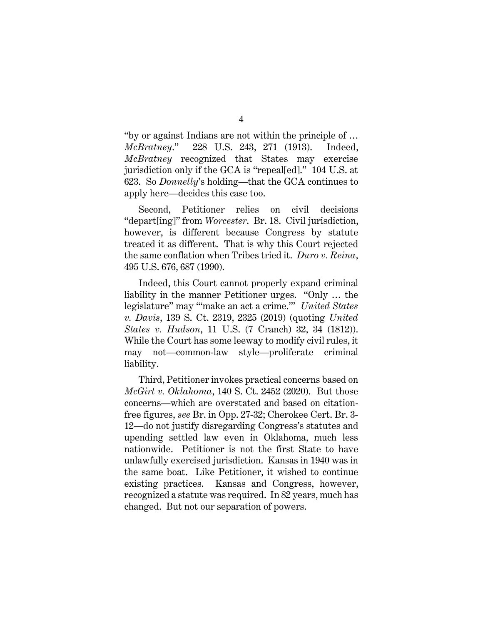"by or against Indians are not within the principle of … McBratney." 228 U.S. 243, 271 (1913). Indeed, McBratney recognized that States may exercise jurisdiction only if the GCA is "repeal[ed]." 104 U.S. at 623. So Donnelly's holding—that the GCA continues to apply here—decides this case too.

Second, Petitioner relies on civil decisions "depart[ing]" from Worcester. Br. 18. Civil jurisdiction, however, is different because Congress by statute treated it as different. That is why this Court rejected the same conflation when Tribes tried it. Duro v. Reina, 495 U.S. 676, 687 (1990).

Indeed, this Court cannot properly expand criminal liability in the manner Petitioner urges. "Only … the legislature" may "'make an act a crime.'" United States v. Davis, 139 S. Ct. 2319, 2325 (2019) (quoting United States v. Hudson, 11 U.S. (7 Cranch) 32, 34 (1812)). While the Court has some leeway to modify civil rules, it may not—common-law style—proliferate criminal liability.

Third, Petitioner invokes practical concerns based on McGirt v. Oklahoma, 140 S. Ct. 2452 (2020). But those concerns—which are overstated and based on citationfree figures, see Br. in Opp. 27-32; Cherokee Cert. Br. 3- 12—do not justify disregarding Congress's statutes and upending settled law even in Oklahoma, much less nationwide. Petitioner is not the first State to have unlawfully exercised jurisdiction. Kansas in 1940 was in the same boat. Like Petitioner, it wished to continue existing practices. Kansas and Congress, however, recognized a statute was required. In 82 years, much has changed. But not our separation of powers.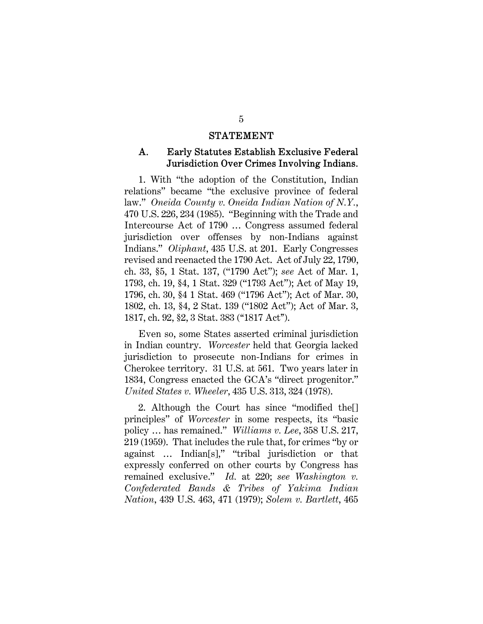#### **STATEMENT**

#### Early Statutes Establish Exclusive Federal A. Jurisdiction Over Crimes Involving Indians.

1. With "the adoption of the Constitution, Indian relations" became "the exclusive province of federal law." Oneida County v. Oneida Indian Nation of N.Y., 470 U.S. 226, 234 (1985). "Beginning with the Trade and Intercourse Act of 1790 … Congress assumed federal jurisdiction over offenses by non-Indians against Indians." Oliphant, 435 U.S. at 201. Early Congresses revised and reenacted the 1790 Act. Act of July 22, 1790, ch. 33, §5, 1 Stat. 137, ("1790 Act"); see Act of Mar. 1, 1793, ch. 19, §4, 1 Stat. 329 ("1793 Act"); Act of May 19, 1796, ch. 30, §4 1 Stat. 469 ("1796 Act"); Act of Mar. 30, 1802, ch. 13, §4, 2 Stat. 139 ("1802 Act"); Act of Mar. 3, 1817, ch. 92, §2, 3 Stat. 383 (''1817 Act'').

Even so, some States asserted criminal jurisdiction in Indian country. Worcester held that Georgia lacked jurisdiction to prosecute non-Indians for crimes in Cherokee territory. 31 U.S. at 561. Two years later in 1834, Congress enacted the GCA's "direct progenitor." United States v. Wheeler, 435 U.S. 313, 324 (1978).

2. Although the Court has since "modified the[] principles" of Worcester in some respects, its "basic policy … has remained." Williams v. Lee, 358 U.S. 217, 219 (1959). That includes the rule that, for crimes "by or against … Indian[s]," "tribal jurisdiction or that expressly conferred on other courts by Congress has remained exclusive." Id. at 220; see Washington v. Confederated Bands & Tribes of Yakima Indian Nation, 439 U.S. 463, 471 (1979); Solem v. Bartlett, 465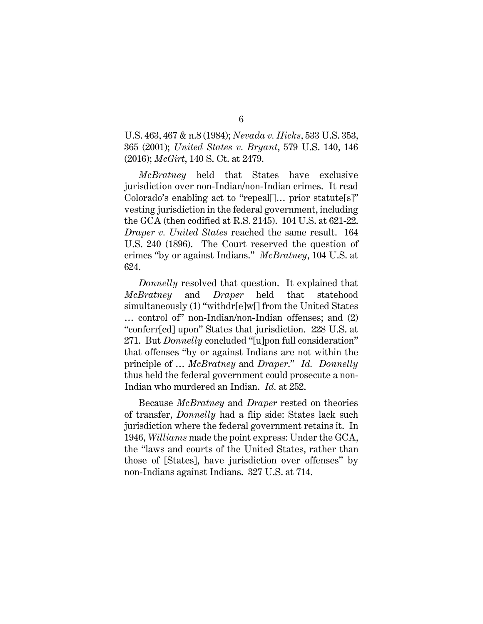U.S. 463, 467 & n.8 (1984); Nevada v. Hicks, 533 U.S. 353, 365 (2001); United States v. Bryant, 579 U.S. 140, 146 (2016); McGirt, 140 S. Ct. at 2479.

McBratney held that States have exclusive jurisdiction over non-Indian/non-Indian crimes. It read Colorado's enabling act to "repeal[]… prior statute[s]" vesting jurisdiction in the federal government, including the GCA (then codified at R.S. 2145). 104 U.S. at 621-22. Draper v. United States reached the same result. 164 U.S. 240 (1896). The Court reserved the question of crimes "by or against Indians." McBratney, 104 U.S. at 624.

Donnelly resolved that question. It explained that McBratney and Draper held that statehood simultaneously (1) "withdr[e]w[] from the United States … control of" non-Indian/non-Indian offenses; and (2) "conferr[ed] upon" States that jurisdiction. 228 U.S. at 271. But *Donnelly* concluded "[u]pon full consideration" that offenses "by or against Indians are not within the principle of … McBratney and Draper." Id. Donnelly thus held the federal government could prosecute a non-Indian who murdered an Indian. Id. at 252.

Because McBratney and Draper rested on theories of transfer, Donnelly had a flip side: States lack such jurisdiction where the federal government retains it. In 1946, Williams made the point express: Under the GCA, the "laws and courts of the United States, rather than those of [States], have jurisdiction over offenses" by non-Indians against Indians. 327 U.S. at 714.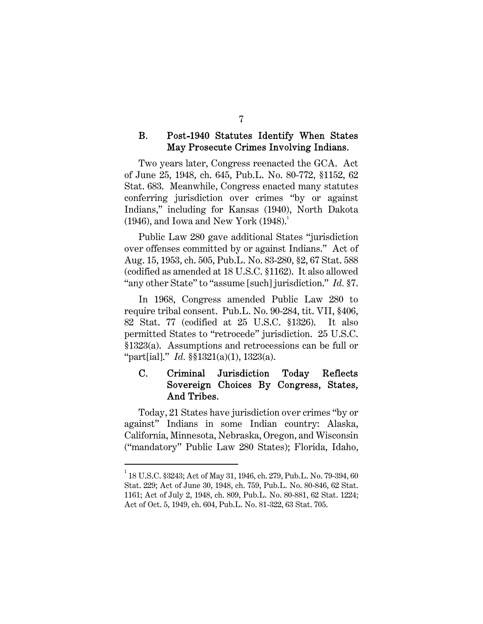#### **B.** Post-1940 Statutes Identify When States May Prosecute Crimes Involving Indians.

Two years later, Congress reenacted the GCA. Act of June 25, 1948, ch. 645, Pub.L. No. 80-772, §1152, 62 Stat. 683. Meanwhile, Congress enacted many statutes conferring jurisdiction over crimes "by or against Indians," including for Kansas (1940), North Dakota  $(1946)$ , and Iowa and New York  $(1948)^1$ .

Public Law 280 gave additional States "jurisdiction over offenses committed by or against Indians." Act of Aug. 15, 1953, ch. 505, Pub.L. No. 83-280, §2, 67 Stat. 588 (codified as amended at 18 U.S.C. §1162). It also allowed "any other State" to "assume [such] jurisdiction." Id. §7.

In 1968, Congress amended Public Law 280 to require tribal consent. Pub.L. No. 90-284, tit. VII, §406, 82 Stat. 77 (codified at 25 U.S.C. §1326). It also permitted States to "retrocede" jurisdiction. 25 U.S.C. §1323(a). Assumptions and retrocessions can be full or "part[ial]." Id. §§1321(a)(1), 1323(a).

#### $\mathbf{C}$ . Criminal Jurisdiction Today Reflects Sovereign Choices By Congress, States, And Tribes.

Today, 21 States have jurisdiction over crimes "by or against" Indians in some Indian country: Alaska, California, Minnesota, Nebraska, Oregon, and Wisconsin ("mandatory" Public Law 280 States); Florida, Idaho,

 $^{\rm 1}$  18 U.S.C. §3243; Act of May 31, 1946, ch. 279, Pub.L. No. 79-394, 60 Stat. 229; Act of June 30, 1948, ch. 759, Pub.L. No. 80-846, 62 Stat. 1161; Act of July 2, 1948, ch. 809, Pub.L. No. 80-881, 62 Stat. 1224; Act of Oct. 5, 1949, ch. 604, Pub.L. No. 81-322, 63 Stat. 705.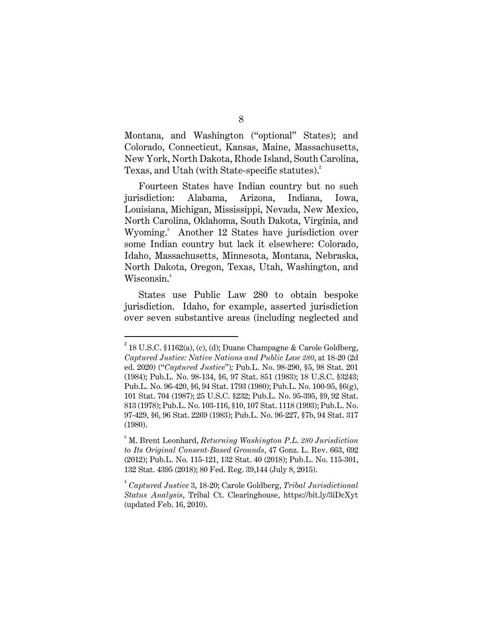Montana, and Washington ("optional" States); and Colorado, Connecticut, Kansas, Maine, Massachusetts, New York, North Dakota, Rhode Island, South Carolina, Texas, and Utah (with State-specific statutes).<sup>2</sup>

Fourteen States have Indian country but no such jurisdiction: Alabama, Arizona, Indiana, Iowa, Louisiana, Michigan, Mississippi, Nevada, New Mexico, North Carolina, Oklahoma, South Dakota, Virginia, and Wyoming.<sup>3</sup> Another 12 States have jurisdiction over some Indian country but lack it elsewhere: Colorado, Idaho, Massachusetts, Minnesota, Montana, Nebraska, North Dakota, Oregon, Texas, Utah, Washington, and Wisconsin.<sup>4</sup>

States use Public Law 280 to obtain bespoke jurisdiction. Idaho, for example, asserted jurisdiction over seven substantive areas (including neglected and

<sup>&</sup>lt;sup>2</sup> 18 U.S.C. §1162(a), (c), (d); Duane Champagne & Carole Goldberg, Captured Justice: Native Nations and Public Law 280, at 18-20 (2d ed. 2020) ("Captured Justice"); Pub.L. No. 98-290, §5, 98 Stat. 201 (1984); Pub.L. No. 98-134, §6, 97 Stat. 851 (1983); 18 U.S.C. §3243; Pub.L. No. 96-420, §6, 94 Stat. 1793 (1980); Pub.L. No. 100-95, §6(g), 101 Stat. 704 (1987); 25 U.S.C. §232; Pub.L. No. 95-395, §9, 92 Stat. 813 (1978); Pub.L. No. 103-116, §10, 107 Stat. 1118 (1993); Pub.L. No. 97-429, §6, 96 Stat. 2269 (1983); Pub.L. No. 96-227, §7b, 94 Stat. 317 (1980).

 $3^{3}$  M. Brent Leonhard, Returning Washington P.L. 280 Jurisdiction to Its Original Consent-Based Grounds, 47 Gonz. L. Rev. 663, 692 (2012); Pub.L. No. 115-121, 132 Stat. 40 (2018); Pub.L. No. 115-301, 132 Stat. 4395 (2018); 80 Fed. Reg. 39,144 (July 8, 2015).

<sup>&</sup>lt;sup>4</sup> Captured Justice 3, 18-20; Carole Goldberg, Tribal Jurisdictional Status Analysis, Tribal Ct. Clearinghouse, https://bit.ly/3iDcXyt (updated Feb. 16, 2010).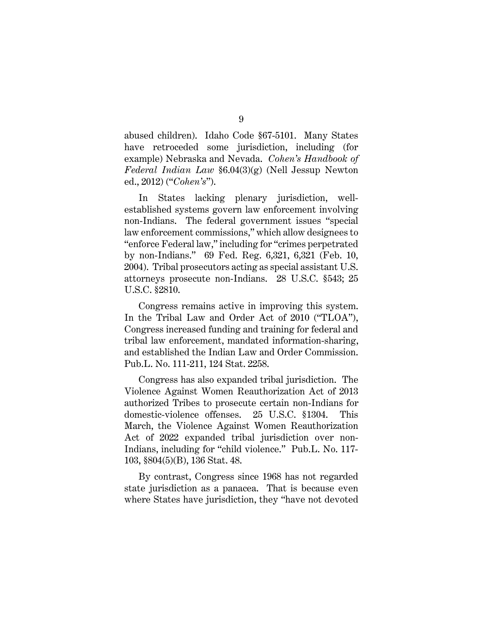abused children). Idaho Code §67-5101. Many States have retroceded some jurisdiction, including (for example) Nebraska and Nevada. Cohen's Handbook of Federal Indian Law §6.04(3)(g) (Nell Jessup Newton ed., 2012) ("Cohen's").

In States lacking plenary jurisdiction, wellestablished systems govern law enforcement involving non-Indians. The federal government issues "special law enforcement commissions," which allow designees to "enforce Federal law," including for "crimes perpetrated by non-Indians." 69 Fed. Reg. 6,321, 6,321 (Feb. 10, 2004). Tribal prosecutors acting as special assistant U.S. attorneys prosecute non-Indians. 28 U.S.C. §543; 25 U.S.C. §2810.

Congress remains active in improving this system. In the Tribal Law and Order Act of 2010 ("TLOA"), Congress increased funding and training for federal and tribal law enforcement, mandated information-sharing, and established the Indian Law and Order Commission. Pub.L. No. 111-211, 124 Stat. 2258.

Congress has also expanded tribal jurisdiction. The Violence Against Women Reauthorization Act of 2013 authorized Tribes to prosecute certain non-Indians for domestic-violence offenses. 25 U.S.C. §1304. This March, the Violence Against Women Reauthorization Act of 2022 expanded tribal jurisdiction over non-Indians, including for "child violence." Pub.L. No. 117- 103, §804(5)(B), 136 Stat. 48.

By contrast, Congress since 1968 has not regarded state jurisdiction as a panacea. That is because even where States have jurisdiction, they "have not devoted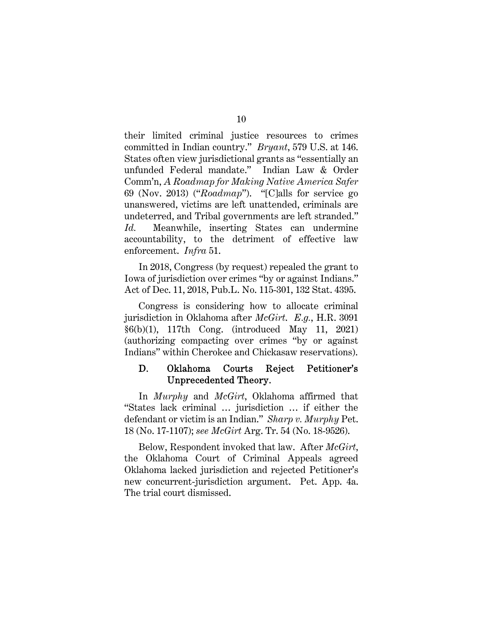their limited criminal justice resources to crimes committed in Indian country." Bryant, 579 U.S. at 146. States often view jurisdictional grants as "essentially an unfunded Federal mandate." Indian Law & Order Comm'n, A Roadmap for Making Native America Safer 69 (Nov. 2013) ("Roadmap"). "[C]alls for service go unanswered, victims are left unattended, criminals are undeterred, and Tribal governments are left stranded." Id. Meanwhile, inserting States can undermine accountability, to the detriment of effective law enforcement. Infra 51.

In 2018, Congress (by request) repealed the grant to Iowa of jurisdiction over crimes "by or against Indians." Act of Dec. 11, 2018, Pub.L. No. 115-301, 132 Stat. 4395.

Congress is considering how to allocate criminal jurisdiction in Oklahoma after McGirt. E.g., H.R. 3091 §6(b)(1), 117th Cong. (introduced May 11, 2021) (authorizing compacting over crimes "by or against Indians" within Cherokee and Chickasaw reservations).

#### Oklahoma D. Courts Reject Petitioner's Unprecedented Theory.

In *Murphy* and *McGirt*, Oklahoma affirmed that "States lack criminal … jurisdiction … if either the defendant or victim is an Indian." Sharp v. Murphy Pet. 18 (No. 17-1107); see McGirt Arg. Tr. 54 (No. 18-9526).

Below, Respondent invoked that law. After *McGirt*, the Oklahoma Court of Criminal Appeals agreed Oklahoma lacked jurisdiction and rejected Petitioner's new concurrent-jurisdiction argument. Pet. App. 4a. The trial court dismissed.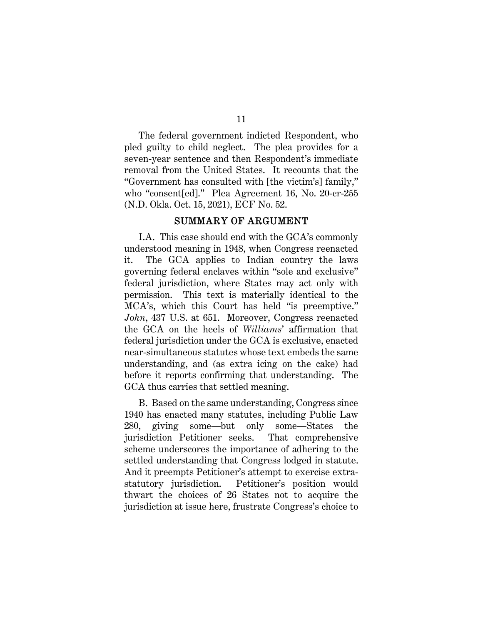The federal government indicted Respondent, who pled guilty to child neglect. The plea provides for a seven-year sentence and then Respondent's immediate removal from the United States. It recounts that the "Government has consulted with [the victim's] family," who "consent[ed]." Plea Agreement 16, No. 20-cr-255 (N.D. Okla. Oct. 15, 2021), ECF No. 52.

### SUMMARY OF ARGUMENT

I.A. This case should end with the GCA's commonly understood meaning in 1948, when Congress reenacted it. The GCA applies to Indian country the laws governing federal enclaves within "sole and exclusive" federal jurisdiction, where States may act only with permission. This text is materially identical to the MCA's, which this Court has held "is preemptive." John, 437 U.S. at 651. Moreover, Congress reenacted the GCA on the heels of Williams' affirmation that federal jurisdiction under the GCA is exclusive, enacted near-simultaneous statutes whose text embeds the same understanding, and (as extra icing on the cake) had before it reports confirming that understanding. The GCA thus carries that settled meaning.

B. Based on the same understanding, Congress since 1940 has enacted many statutes, including Public Law 280, giving some—but only some—States the jurisdiction Petitioner seeks. That comprehensive scheme underscores the importance of adhering to the settled understanding that Congress lodged in statute. And it preempts Petitioner's attempt to exercise extrastatutory jurisdiction. Petitioner's position would thwart the choices of 26 States not to acquire the jurisdiction at issue here, frustrate Congress's choice to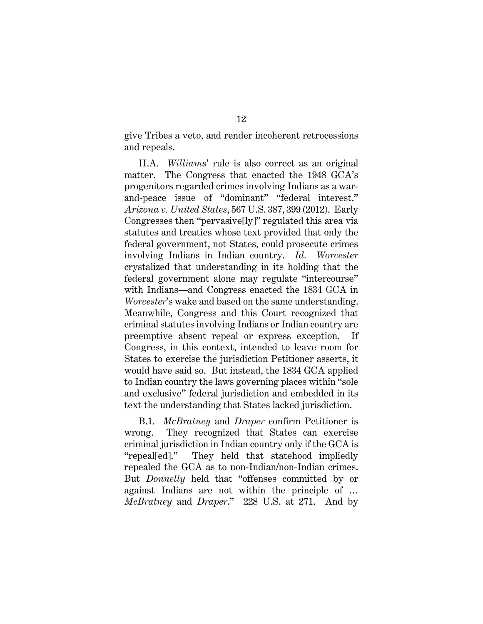give Tribes a veto, and render incoherent retrocessions and repeals.

II.A. Williams' rule is also correct as an original matter. The Congress that enacted the 1948 GCA's progenitors regarded crimes involving Indians as a warand-peace issue of "dominant" "federal interest." Arizona v. United States, 567 U.S. 387, 399 (2012). Early Congresses then "pervasive[ly]" regulated this area via statutes and treaties whose text provided that only the federal government, not States, could prosecute crimes involving Indians in Indian country. Id. Worcester crystalized that understanding in its holding that the federal government alone may regulate "intercourse" with Indians—and Congress enacted the 1834 GCA in Worcester's wake and based on the same understanding. Meanwhile, Congress and this Court recognized that criminal statutes involving Indians or Indian country are preemptive absent repeal or express exception. If Congress, in this context, intended to leave room for States to exercise the jurisdiction Petitioner asserts, it would have said so. But instead, the 1834 GCA applied to Indian country the laws governing places within "sole and exclusive" federal jurisdiction and embedded in its text the understanding that States lacked jurisdiction.

B.1. McBratney and Draper confirm Petitioner is wrong. They recognized that States can exercise criminal jurisdiction in Indian country only if the GCA is "repeal[ed]." They held that statehood impliedly repealed the GCA as to non-Indian/non-Indian crimes. But Donnelly held that "offenses committed by or against Indians are not within the principle of … McBratney and Draper." 228 U.S. at 271. And by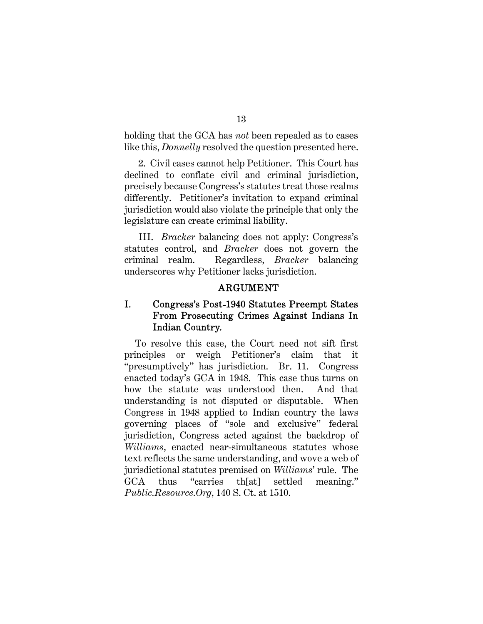holding that the GCA has *not* been repealed as to cases like this, *Donnelly* resolved the question presented here.

2. Civil cases cannot help Petitioner. This Court has declined to conflate civil and criminal jurisdiction, precisely because Congress's statutes treat those realms differently. Petitioner's invitation to expand criminal jurisdiction would also violate the principle that only the legislature can create criminal liability.

III. Bracker balancing does not apply: Congress's statutes control, and Bracker does not govern the criminal realm. Regardless, Bracker balancing underscores why Petitioner lacks jurisdiction.

### **ARGUMENT**

#### I. Congress's Post-1940 Statutes Preempt States From Prosecuting Crimes Against Indians In Indian Country.

To resolve this case, the Court need not sift first principles or weigh Petitioner's claim that it "presumptively" has jurisdiction. Br. 11. Congress enacted today's GCA in 1948. This case thus turns on how the statute was understood then. And that understanding is not disputed or disputable. When Congress in 1948 applied to Indian country the laws governing places of "sole and exclusive" federal jurisdiction, Congress acted against the backdrop of Williams, enacted near-simultaneous statutes whose text reflects the same understanding, and wove a web of jurisdictional statutes premised on Williams' rule. The GCA thus "carries th[at] settled meaning." Public.Resource.Org, 140 S. Ct. at 1510.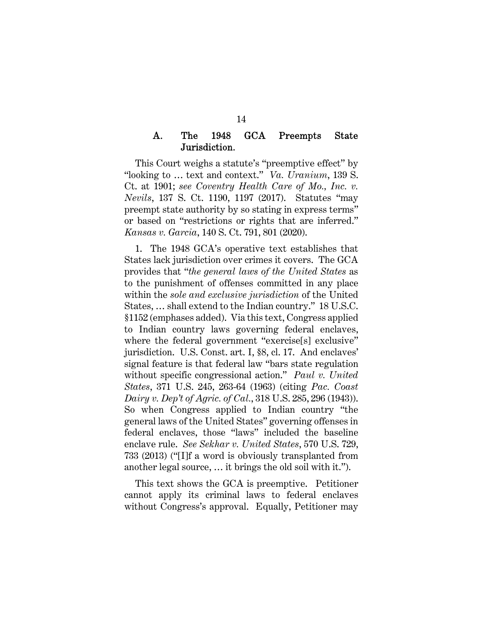#### A. The 1948 **GCA** Preempts State Jurisdiction.

This Court weighs a statute's "preemptive effect" by "looking to … text and context." Va. Uranium, 139 S. Ct. at 1901; see Coventry Health Care of Mo., Inc. v. Nevils, 137 S. Ct. 1190, 1197 (2017). Statutes "may preempt state authority by so stating in express terms" or based on "restrictions or rights that are inferred." Kansas v. Garcia, 140 S. Ct. 791, 801 (2020).

1. The 1948 GCA's operative text establishes that States lack jurisdiction over crimes it covers. The GCA provides that "the general laws of the United States as to the punishment of offenses committed in any place within the *sole and exclusive jurisdiction* of the United States, … shall extend to the Indian country." 18 U.S.C. §1152 (emphases added). Via this text, Congress applied to Indian country laws governing federal enclaves, where the federal government "exercise[s] exclusive" jurisdiction. U.S. Const. art. I, §8, cl. 17. And enclaves' signal feature is that federal law "bars state regulation without specific congressional action." Paul v. United States, 371 U.S. 245, 263-64 (1963) (citing Pac. Coast Dairy v. Dep't of Agric. of Cal., 318 U.S. 285, 296 (1943)). So when Congress applied to Indian country "the general laws of the United States" governing offenses in federal enclaves, those "laws" included the baseline enclave rule. See Sekhar v. United States, 570 U.S. 729, 733 (2013) ("[I]f a word is obviously transplanted from another legal source, … it brings the old soil with it.").

This text shows the GCA is preemptive. Petitioner cannot apply its criminal laws to federal enclaves without Congress's approval. Equally, Petitioner may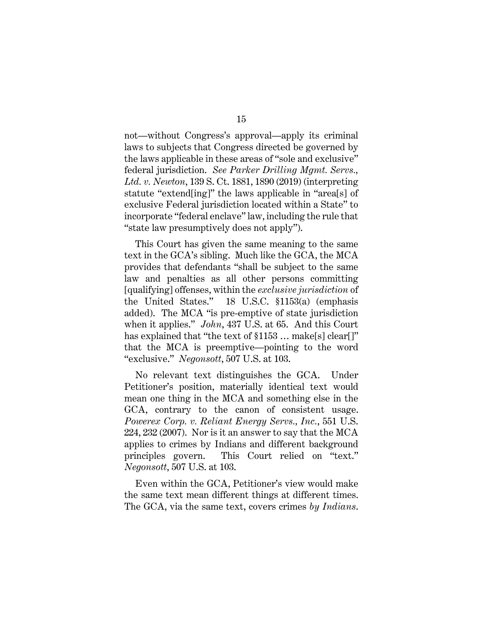not—without Congress's approval—apply its criminal laws to subjects that Congress directed be governed by the laws applicable in these areas of "sole and exclusive" federal jurisdiction. See Parker Drilling Mgmt. Servs., Ltd. v. Newton, 139 S. Ct. 1881, 1890 (2019) (interpreting statute "extend[ing]" the laws applicable in "area[s] of exclusive Federal jurisdiction located within a State" to incorporate "federal enclave" law, including the rule that "state law presumptively does not apply").

This Court has given the same meaning to the same text in the GCA's sibling. Much like the GCA, the MCA provides that defendants "shall be subject to the same law and penalties as all other persons committing [qualifying] offenses, within the exclusive jurisdiction of the United States." 18 U.S.C. §1153(a) (emphasis added). The MCA "is pre-emptive of state jurisdiction when it applies." John, 437 U.S. at 65. And this Court has explained that "the text of  $$1153$  ... make[s] clear[]" that the MCA is preemptive—pointing to the word "exclusive." Negonsott, 507 U.S. at 103.

No relevant text distinguishes the GCA. Under Petitioner's position, materially identical text would mean one thing in the MCA and something else in the GCA, contrary to the canon of consistent usage. Powerex Corp. v. Reliant Energy Servs., Inc., 551 U.S. 224, 232 (2007). Nor is it an answer to say that the MCA applies to crimes by Indians and different background principles govern. This Court relied on "text." Negonsott, 507 U.S. at 103.

Even within the GCA, Petitioner's view would make the same text mean different things at different times. The GCA, via the same text, covers crimes by Indians.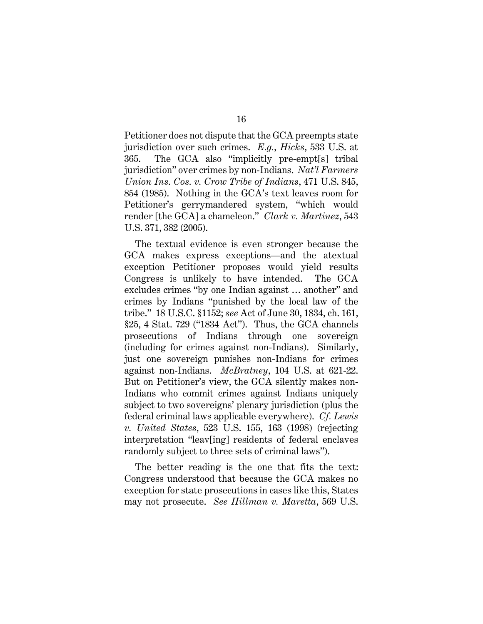Petitioner does not dispute that the GCA preempts state jurisdiction over such crimes. E.g., Hicks, 533 U.S. at 365. The GCA also "implicitly pre-empt[s] tribal jurisdiction" over crimes by non-Indians. Nat'l Farmers Union Ins. Cos. v. Crow Tribe of Indians, 471 U.S. 845, 854 (1985). Nothing in the GCA's text leaves room for Petitioner's gerrymandered system, "which would render [the GCA] a chameleon." Clark v. Martinez, 543 U.S. 371, 382 (2005).

The textual evidence is even stronger because the GCA makes express exceptions—and the atextual exception Petitioner proposes would yield results Congress is unlikely to have intended. The GCA excludes crimes "by one Indian against … another" and crimes by Indians "punished by the local law of the tribe." 18 U.S.C. §1152; see Act of June 30, 1834, ch. 161, §25, 4 Stat. 729 ("1834 Act"). Thus, the GCA channels prosecutions of Indians through one sovereign (including for crimes against non-Indians). Similarly, just one sovereign punishes non-Indians for crimes against non-Indians. McBratney, 104 U.S. at 621-22. But on Petitioner's view, the GCA silently makes non-Indians who commit crimes against Indians uniquely subject to two sovereigns' plenary jurisdiction (plus the federal criminal laws applicable everywhere). Cf. Lewis v. United States, 523 U.S. 155, 163 (1998) (rejecting interpretation "leav[ing] residents of federal enclaves randomly subject to three sets of criminal laws").

The better reading is the one that fits the text: Congress understood that because the GCA makes no exception for state prosecutions in cases like this, States may not prosecute. See Hillman v. Maretta, 569 U.S.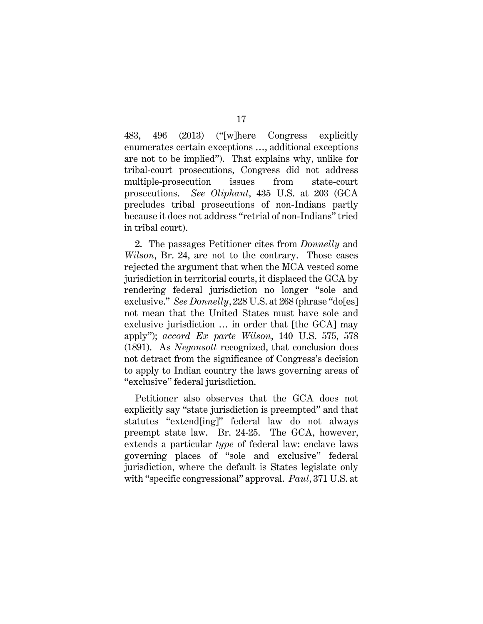483, 496 (2013) ("[w]here Congress explicitly enumerates certain exceptions …, additional exceptions are not to be implied"). That explains why, unlike for tribal-court prosecutions, Congress did not address multiple-prosecution issues from state-court prosecutions. See Oliphant, 435 U.S. at 203 (GCA precludes tribal prosecutions of non-Indians partly because it does not address "retrial of non-Indians" tried in tribal court).

2. The passages Petitioner cites from *Donnelly* and Wilson, Br. 24, are not to the contrary. Those cases rejected the argument that when the MCA vested some jurisdiction in territorial courts, it displaced the GCA by rendering federal jurisdiction no longer "sole and exclusive." See Donnelly, 228 U.S. at 268 (phrase "do[es] not mean that the United States must have sole and exclusive jurisdiction … in order that [the GCA] may apply"); accord Ex parte Wilson, 140 U.S. 575, 578 (1891). As Negonsott recognized, that conclusion does not detract from the significance of Congress's decision to apply to Indian country the laws governing areas of "exclusive" federal jurisdiction.

Petitioner also observes that the GCA does not explicitly say "state jurisdiction is preempted" and that statutes "extend[ing]" federal law do not always preempt state law. Br. 24-25. The GCA, however, extends a particular type of federal law: enclave laws governing places of "sole and exclusive" federal jurisdiction, where the default is States legislate only with "specific congressional" approval. Paul, 371 U.S. at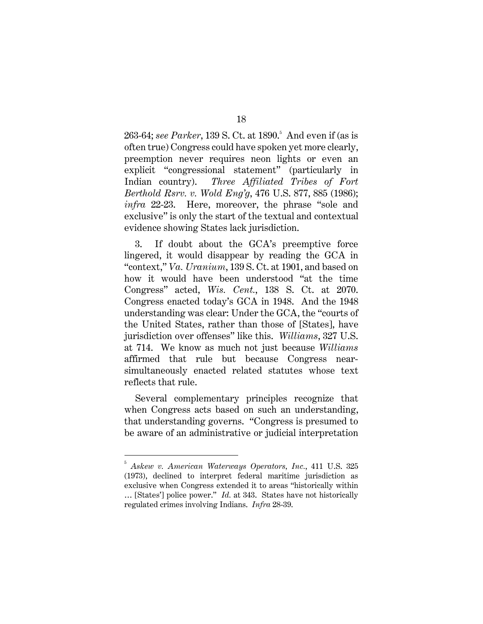263-64; see Parker, 139 S. Ct. at 1890. $^{\circ}$  And even if (as is often true) Congress could have spoken yet more clearly, preemption never requires neon lights or even an explicit "congressional statement" (particularly in Indian country). Three Affiliated Tribes of Fort Berthold Rsrv. v. Wold Eng'g, 476 U.S. 877, 885 (1986); infra 22-23. Here, moreover, the phrase "sole and exclusive" is only the start of the textual and contextual evidence showing States lack jurisdiction.

3. If doubt about the GCA's preemptive force lingered, it would disappear by reading the GCA in "context," Va. Uranium, 139 S. Ct. at 1901, and based on how it would have been understood "at the time Congress" acted, Wis. Cent., 138 S. Ct. at 2070. Congress enacted today's GCA in 1948. And the 1948 understanding was clear: Under the GCA, the "courts of the United States, rather than those of [States], have jurisdiction over offenses" like this. Williams, 327 U.S. at 714. We know as much not just because Williams affirmed that rule but because Congress nearsimultaneously enacted related statutes whose text reflects that rule.

Several complementary principles recognize that when Congress acts based on such an understanding, that understanding governs. "Congress is presumed to be aware of an administrative or judicial interpretation

<sup>5</sup> Askew v. American Waterways Operators, Inc., 411 U.S. 325 (1973), declined to interpret federal maritime jurisdiction as exclusive when Congress extended it to areas "historically within … [States'] police power." Id. at 343. States have not historically regulated crimes involving Indians. Infra 28-39.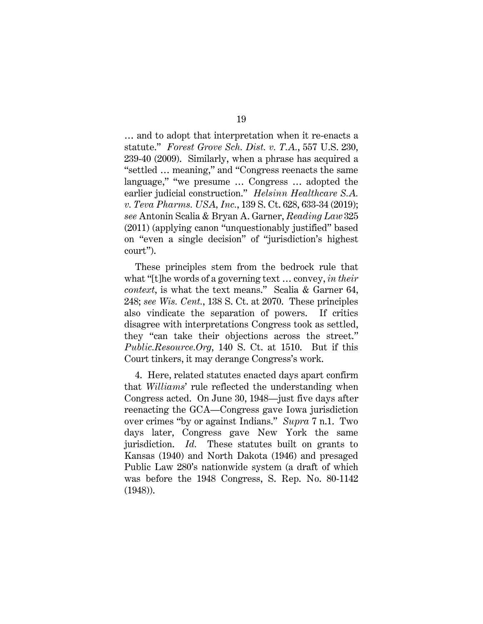… and to adopt that interpretation when it re-enacts a statute." Forest Grove Sch. Dist. v. T.A., 557 U.S. 230, 239-40 (2009). Similarly, when a phrase has acquired a "settled … meaning," and "Congress reenacts the same language," "we presume … Congress … adopted the earlier judicial construction." Helsinn Healthcare S.A. v. Teva Pharms. USA, Inc., 139 S. Ct. 628, 633-34 (2019); see Antonin Scalia & Bryan A. Garner, Reading Law 325 (2011) (applying canon "unquestionably justified" based on "even a single decision" of "jurisdiction's highest court").

These principles stem from the bedrock rule that what "[t]he words of a governing text ... convey, in their context, is what the text means." Scalia & Garner 64, 248; see Wis. Cent., 138 S. Ct. at 2070. These principles also vindicate the separation of powers. If critics disagree with interpretations Congress took as settled, they "can take their objections across the street." Public.Resource.Org, 140 S. Ct. at 1510. But if this Court tinkers, it may derange Congress's work.

4. Here, related statutes enacted days apart confirm that Williams' rule reflected the understanding when Congress acted. On June 30, 1948—just five days after reenacting the GCA—Congress gave Iowa jurisdiction over crimes "by or against Indians." Supra 7 n.1. Two days later, Congress gave New York the same jurisdiction. Id. These statutes built on grants to Kansas (1940) and North Dakota (1946) and presaged Public Law 280's nationwide system (a draft of which was before the 1948 Congress, S. Rep. No. 80-1142 (1948)).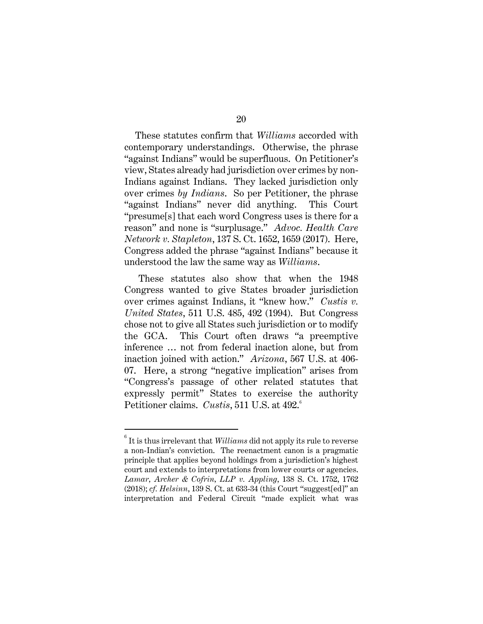These statutes confirm that *Williams* accorded with contemporary understandings. Otherwise, the phrase "against Indians" would be superfluous. On Petitioner's view, States already had jurisdiction over crimes by non-Indians against Indians. They lacked jurisdiction only over crimes by Indians. So per Petitioner, the phrase "against Indians" never did anything. This Court "presume[s] that each word Congress uses is there for a reason" and none is "surplusage." Advoc. Health Care Network v. Stapleton, 137 S. Ct. 1652, 1659 (2017). Here, Congress added the phrase "against Indians" because it understood the law the same way as Williams.

These statutes also show that when the 1948 Congress wanted to give States broader jurisdiction over crimes against Indians, it "knew how." Custis v. United States, 511 U.S. 485, 492 (1994). But Congress chose not to give all States such jurisdiction or to modify the GCA. This Court often draws "a preemptive inference … not from federal inaction alone, but from inaction joined with action." Arizona, 567 U.S. at 406- 07. Here, a strong "negative implication" arises from "Congress's passage of other related statutes that expressly permit" States to exercise the authority Petitioner claims. Custis, 511 U.S. at 492.<sup>6</sup>

 $^6$  It is thus irrelevant that  $Williams$  did not apply its rule to reverse a non-Indian's conviction. The reenactment canon is a pragmatic principle that applies beyond holdings from a jurisdiction's highest court and extends to interpretations from lower courts or agencies. Lamar, Archer & Cofrin, LLP v. Appling, 138 S. Ct. 1752, 1762 (2018); cf. Helsinn, 139 S. Ct. at 633-34 (this Court "suggest[ed]" an interpretation and Federal Circuit "made explicit what was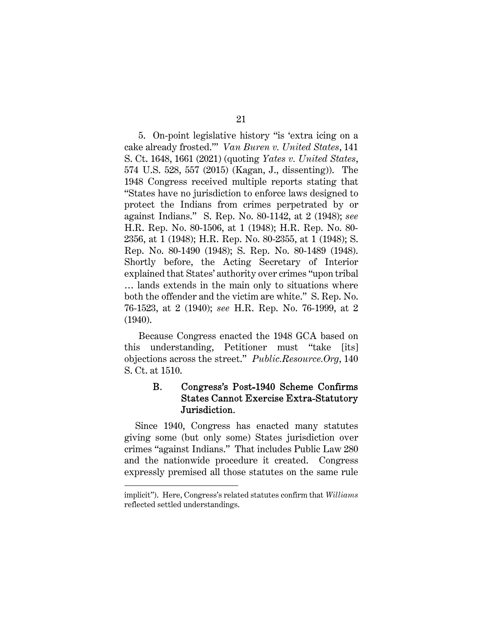5. On-point legislative history "is 'extra icing on a cake already frosted.'" Van Buren v. United States, 141 S. Ct. 1648, 1661 (2021) (quoting Yates v. United States, 574 U.S. 528, 557 (2015) (Kagan, J., dissenting)). The 1948 Congress received multiple reports stating that "States have no jurisdiction to enforce laws designed to protect the Indians from crimes perpetrated by or against Indians." S. Rep. No. 80-1142, at 2 (1948); see H.R. Rep. No. 80-1506, at 1 (1948); H.R. Rep. No. 80- 2356, at 1 (1948); H.R. Rep. No. 80-2355, at 1 (1948); S. Rep. No. 80-1490 (1948); S. Rep. No. 80-1489 (1948). Shortly before, the Acting Secretary of Interior explained that States' authority over crimes "upon tribal … lands extends in the main only to situations where both the offender and the victim are white." S. Rep. No. 76-1523, at 2 (1940); see H.R. Rep. No. 76-1999, at 2 (1940).

Because Congress enacted the 1948 GCA based on this understanding, Petitioner must "take [its] objections across the street." Public.Resource.Org, 140 S. Ct. at 1510.

#### **B.** Congress's Post-1940 Scheme Confirms **States Cannot Exercise Extra-Statutory** Jurisdiction.

Since 1940, Congress has enacted many statutes giving some (but only some) States jurisdiction over crimes "against Indians." That includes Public Law 280 and the nationwide procedure it created. Congress expressly premised all those statutes on the same rule

implicit"). Here, Congress's related statutes confirm that Williams reflected settled understandings.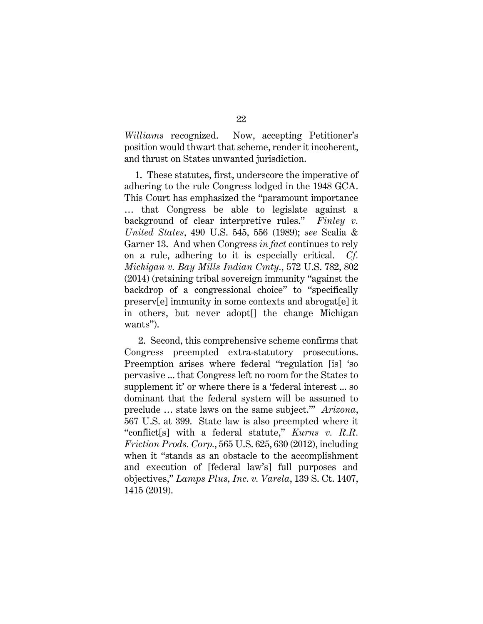Williams recognized. Now, accepting Petitioner's position would thwart that scheme, render it incoherent, and thrust on States unwanted jurisdiction.

1. These statutes, first, underscore the imperative of adhering to the rule Congress lodged in the 1948 GCA. This Court has emphasized the "paramount importance … that Congress be able to legislate against a background of clear interpretive rules." Finley  $v$ . United States, 490 U.S. 545, 556 (1989); see Scalia & Garner 13. And when Congress in fact continues to rely on a rule, adhering to it is especially critical. Cf. Michigan v. Bay Mills Indian Cmty., 572 U.S. 782, 802 (2014) (retaining tribal sovereign immunity "against the backdrop of a congressional choice" to "specifically preserv[e] immunity in some contexts and abrogat[e] it in others, but never adopt[] the change Michigan wants").

2. Second, this comprehensive scheme confirms that Congress preempted extra-statutory prosecutions. Preemption arises where federal "regulation [is] 'so pervasive ... that Congress left no room for the States to supplement it' or where there is a 'federal interest ... so dominant that the federal system will be assumed to preclude … state laws on the same subject.'" Arizona, 567 U.S. at 399. State law is also preempted where it "conflict[s] with a federal statute," Kurns v. R.R. Friction Prods. Corp., 565 U.S. 625, 630 (2012), including when it "stands as an obstacle to the accomplishment and execution of [federal law's] full purposes and objectives," Lamps Plus, Inc. v. Varela, 139 S. Ct. 1407, 1415 (2019).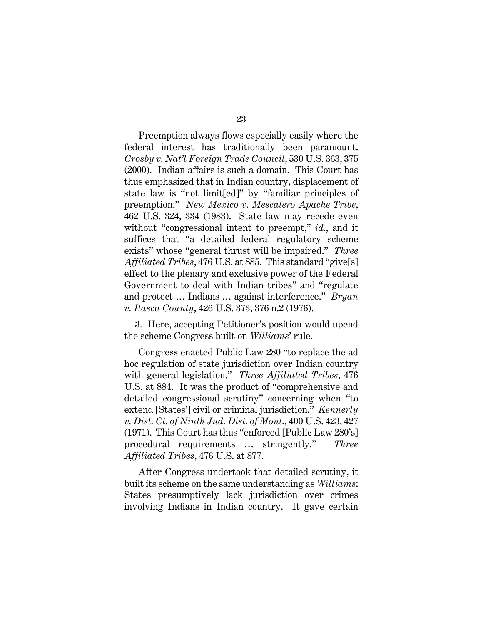Preemption always flows especially easily where the federal interest has traditionally been paramount. Crosby v. Nat'l Foreign Trade Council, 530 U.S. 363, 375 (2000). Indian affairs is such a domain. This Court has thus emphasized that in Indian country, displacement of state law is "not limit[ed]" by "familiar principles of preemption." New Mexico v. Mescalero Apache Tribe, 462 U.S. 324, 334 (1983). State law may recede even without "congressional intent to preempt," id., and it suffices that "a detailed federal regulatory scheme exists" whose "general thrust will be impaired." Three Affiliated Tribes, 476 U.S. at 885. This standard "give[s] effect to the plenary and exclusive power of the Federal Government to deal with Indian tribes" and "regulate and protect ... Indians ... against interference." Bryan v. Itasca County, 426 U.S. 373, 376 n.2 (1976).

3. Here, accepting Petitioner's position would upend the scheme Congress built on Williams' rule.

Congress enacted Public Law 280 "to replace the ad hoc regulation of state jurisdiction over Indian country with general legislation." Three Affiliated Tribes, 476 U.S. at 884. It was the product of "comprehensive and detailed congressional scrutiny" concerning when "to extend [States'] civil or criminal jurisdiction." Kennerly v. Dist. Ct. of Ninth Jud. Dist. of Mont., 400 U.S. 423, 427 (1971). This Court has thus "enforced [Public Law 280's] procedural requirements … stringently." Three Affiliated Tribes, 476 U.S. at 877.

After Congress undertook that detailed scrutiny, it built its scheme on the same understanding as *Williams*: States presumptively lack jurisdiction over crimes involving Indians in Indian country. It gave certain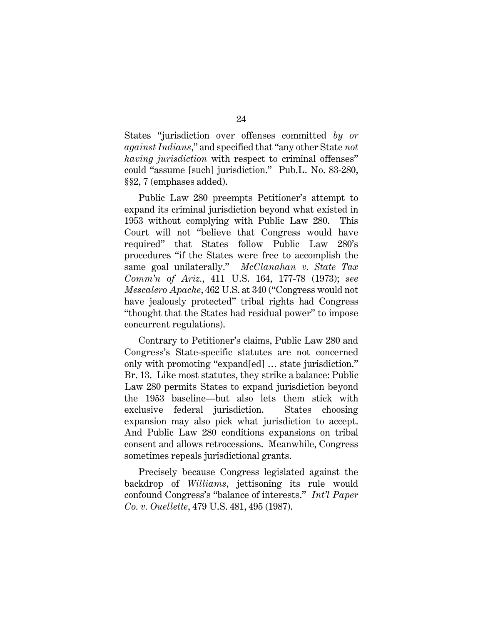States "jurisdiction over offenses committed by or against Indians," and specified that "any other State not having jurisdiction with respect to criminal offenses" could "assume [such] jurisdiction." Pub.L. No. 83-280, §§2, 7 (emphases added).

Public Law 280 preempts Petitioner's attempt to expand its criminal jurisdiction beyond what existed in 1953 without complying with Public Law 280. This Court will not "believe that Congress would have required" that States follow Public Law 280's procedures "if the States were free to accomplish the same goal unilaterally." McClanahan v. State Tax Comm'n of Ariz., 411 U.S. 164, 177-78 (1973); see Mescalero Apache, 462 U.S. at 340 ("Congress would not have jealously protected" tribal rights had Congress "thought that the States had residual power" to impose concurrent regulations).

Contrary to Petitioner's claims, Public Law 280 and Congress's State-specific statutes are not concerned only with promoting "expand[ed] … state jurisdiction." Br. 13. Like most statutes, they strike a balance: Public Law 280 permits States to expand jurisdiction beyond the 1953 baseline—but also lets them stick with exclusive federal jurisdiction. States choosing expansion may also pick what jurisdiction to accept. And Public Law 280 conditions expansions on tribal consent and allows retrocessions. Meanwhile, Congress sometimes repeals jurisdictional grants.

Precisely because Congress legislated against the backdrop of Williams, jettisoning its rule would confound Congress's "balance of interests." Int'l Paper Co. v. Ouellette, 479 U.S. 481, 495 (1987).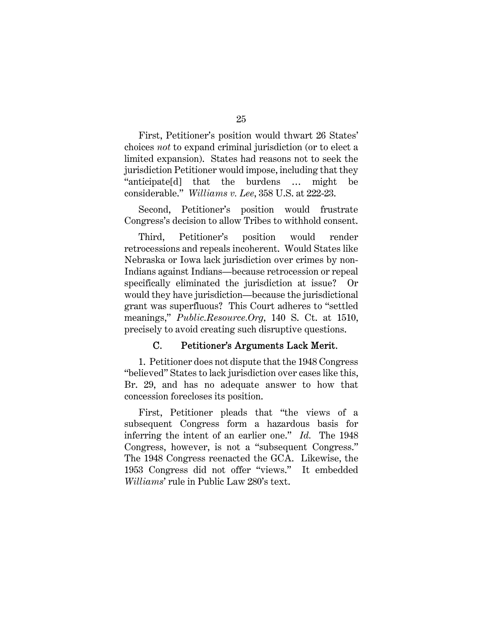First, Petitioner's position would thwart 26 States' choices not to expand criminal jurisdiction (or to elect a limited expansion). States had reasons not to seek the jurisdiction Petitioner would impose, including that they "anticipate[d] that the burdens … might be considerable." Williams v. Lee, 358 U.S. at 222-23.

Second, Petitioner's position would frustrate Congress's decision to allow Tribes to withhold consent.

Third, Petitioner's position would render retrocessions and repeals incoherent. Would States like Nebraska or Iowa lack jurisdiction over crimes by non-Indians against Indians—because retrocession or repeal specifically eliminated the jurisdiction at issue? Or would they have jurisdiction—because the jurisdictional grant was superfluous? This Court adheres to "settled meanings," Public.Resource.Org, 140 S. Ct. at 1510, precisely to avoid creating such disruptive questions.

#### C. Petitioner's Arguments Lack Merit.

1. Petitioner does not dispute that the 1948 Congress "believed" States to lack jurisdiction over cases like this, Br. 29, and has no adequate answer to how that concession forecloses its position.

First, Petitioner pleads that "the views of a subsequent Congress form a hazardous basis for inferring the intent of an earlier one." Id. The 1948 Congress, however, is not a "subsequent Congress." The 1948 Congress reenacted the GCA. Likewise, the 1953 Congress did not offer "views." It embedded Williams' rule in Public Law 280's text.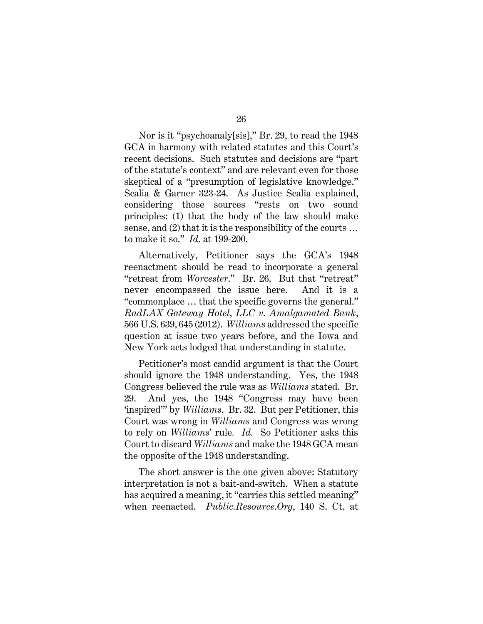Nor is it "psychoanaly[sis]," Br. 29, to read the 1948 GCA in harmony with related statutes and this Court's recent decisions. Such statutes and decisions are "part of the statute's context" and are relevant even for those skeptical of a "presumption of legislative knowledge." Scalia & Garner 323-24. As Justice Scalia explained, considering those sources "rests on two sound principles: (1) that the body of the law should make sense, and (2) that it is the responsibility of the courts ... to make it so." Id. at 199-200.

Alternatively, Petitioner says the GCA's 1948 reenactment should be read to incorporate a general "retreat from Worcester." Br. 26. But that "retreat" never encompassed the issue here. And it is a "commonplace … that the specific governs the general." RadLAX Gateway Hotel, LLC v. Amalgamated Bank, 566 U.S. 639, 645 (2012). Williams addressed the specific question at issue two years before, and the Iowa and New York acts lodged that understanding in statute.

Petitioner's most candid argument is that the Court should ignore the 1948 understanding. Yes, the 1948 Congress believed the rule was as Williams stated. Br. 29. And yes, the 1948 "Congress may have been 'inspired'" by Williams. Br. 32. But per Petitioner, this Court was wrong in Williams and Congress was wrong to rely on Williams' rule. Id. So Petitioner asks this Court to discard Williams and make the 1948 GCA mean the opposite of the 1948 understanding.

The short answer is the one given above: Statutory interpretation is not a bait-and-switch. When a statute has acquired a meaning, it "carries this settled meaning" when reenacted. Public.Resource.Org, 140 S. Ct. at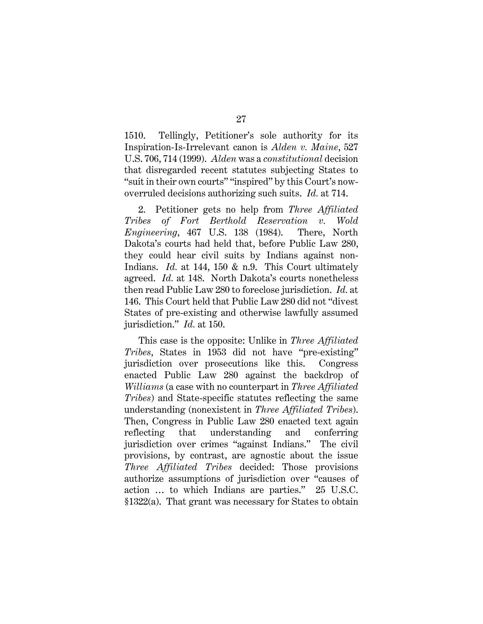1510. Tellingly, Petitioner's sole authority for its Inspiration-Is-Irrelevant canon is Alden v. Maine, 527 U.S. 706, 714 (1999). Alden was a constitutional decision that disregarded recent statutes subjecting States to "suit in their own courts" "inspired" by this Court's nowoverruled decisions authorizing such suits. Id. at 714.

2. Petitioner gets no help from Three Affiliated Tribes of Fort Berthold Reservation v. Wold Engineering, 467 U.S. 138 (1984). There, North Dakota's courts had held that, before Public Law 280, they could hear civil suits by Indians against non-Indians. Id. at 144, 150 & n.9. This Court ultimately agreed. Id. at 148. North Dakota's courts nonetheless then read Public Law 280 to foreclose jurisdiction. Id. at 146. This Court held that Public Law 280 did not "divest States of pre-existing and otherwise lawfully assumed jurisdiction." Id. at 150.

This case is the opposite: Unlike in Three Affiliated Tribes, States in 1953 did not have "pre-existing" jurisdiction over prosecutions like this. Congress enacted Public Law 280 against the backdrop of Williams (a case with no counterpart in Three Affiliated Tribes) and State-specific statutes reflecting the same understanding (nonexistent in Three Affiliated Tribes). Then, Congress in Public Law 280 enacted text again reflecting that understanding and conferring jurisdiction over crimes "against Indians." The civil provisions, by contrast, are agnostic about the issue Three Affiliated Tribes decided: Those provisions authorize assumptions of jurisdiction over "causes of action … to which Indians are parties." 25 U.S.C. §1322(a). That grant was necessary for States to obtain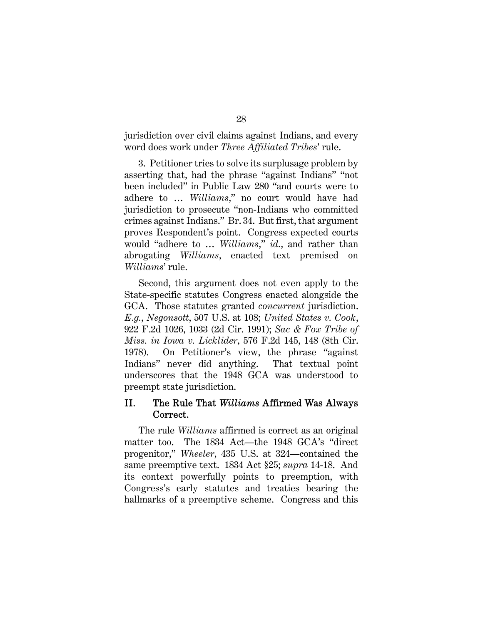jurisdiction over civil claims against Indians, and every word does work under Three Affiliated Tribes' rule.

3. Petitioner tries to solve its surplusage problem by asserting that, had the phrase "against Indians" "not been included" in Public Law 280 "and courts were to adhere to … Williams," no court would have had jurisdiction to prosecute "non-Indians who committed crimes against Indians." Br. 34. But first, that argument proves Respondent's point. Congress expected courts would "adhere to ... Williams," id., and rather than abrogating Williams, enacted text premised on Williams' rule.

Second, this argument does not even apply to the State-specific statutes Congress enacted alongside the GCA. Those statutes granted *concurrent* jurisdiction. E.g., Negonsott, 507 U.S. at 108; United States v. Cook, 922 F.2d 1026, 1033 (2d Cir. 1991); Sac & Fox Tribe of Miss. in Iowa v. Licklider, 576 F.2d 145, 148 (8th Cir. 1978). On Petitioner's view, the phrase "against Indians" never did anything. That textual point underscores that the 1948 GCA was understood to preempt state jurisdiction.

#### II. The Rule That Williams Affirmed Was Always Correct.

The rule *Williams* affirmed is correct as an original matter too. The 1834 Act—the 1948 GCA's "direct progenitor," Wheeler, 435 U.S. at 324—contained the same preemptive text. 1834 Act §25; supra 14-18. And its context powerfully points to preemption, with Congress's early statutes and treaties bearing the hallmarks of a preemptive scheme. Congress and this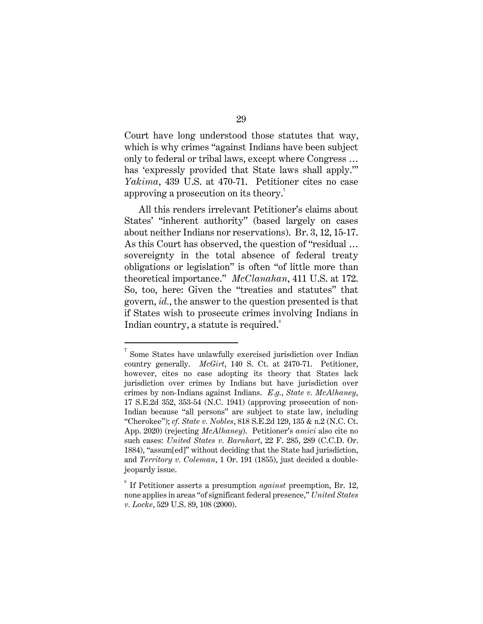Court have long understood those statutes that way, which is why crimes "against Indians have been subject only to federal or tribal laws, except where Congress … has 'expressly provided that State laws shall apply.'" Yakima, 439 U.S. at 470-71. Petitioner cites no case approving a prosecution on its theory.<sup>7</sup>

All this renders irrelevant Petitioner's claims about States' "inherent authority" (based largely on cases about neither Indians nor reservations). Br. 3, 12, 15-17. As this Court has observed, the question of "residual … sovereignty in the total absence of federal treaty obligations or legislation" is often "of little more than theoretical importance." McClanahan, 411 U.S. at 172. So, too, here: Given the "treaties and statutes" that govern, id., the answer to the question presented is that if States wish to prosecute crimes involving Indians in Indian country, a statute is required.<sup>8</sup>

 $7$  Some States have unlawfully exercised jurisdiction over Indian country generally. *McGirt*, 140 S. Ct. at 2470-71. Petitioner, however, cites no case adopting its theory that States lack jurisdiction over crimes by Indians but have jurisdiction over crimes by non-Indians against Indians. E.g., State v. McAlhaney, 17 S.E.2d 352, 353-54 (N.C. 1941) (approving prosecution of non-Indian because "all persons" are subject to state law, including "Cherokee"); cf. State v. Nobles, 818 S.E.2d 129, 135 & n.2 (N.C. Ct. App. 2020) (rejecting McAlhaney). Petitioner's amici also cite no such cases: United States v. Barnhart, 22 F. 285, 289 (C.C.D. Or. 1884), "assum[ed]" without deciding that the State had jurisdiction, and Territory v. Coleman, 1 Or. 191 (1855), just decided a doublejeopardy issue.

 $8$  If Petitioner asserts a presumption *against* preemption, Br. 12, none applies in areas "of significant federal presence," United States v. Locke, 529 U.S. 89, 108 (2000).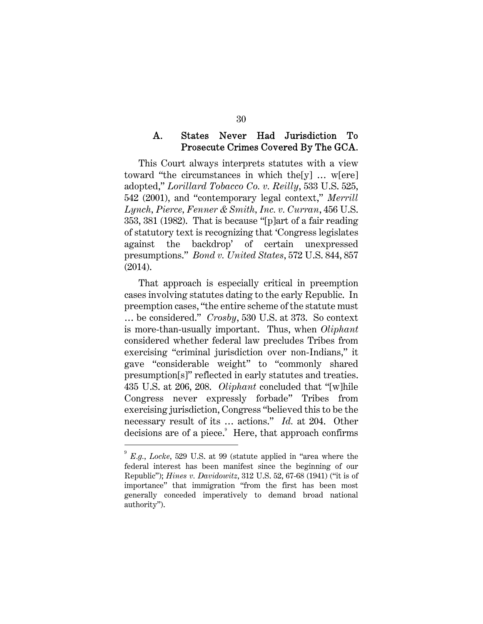#### A. **States** Never Had Jurisdiction To Prosecute Crimes Covered By The GCA.

This Court always interprets statutes with a view toward "the circumstances in which the[y] … w[ere] adopted," Lorillard Tobacco Co. v. Reilly, 533 U.S. 525, 542 (2001), and "contemporary legal context," Merrill Lynch, Pierce, Fenner & Smith, Inc. v. Curran, 456 U.S. 353, 381 (1982). That is because "[p]art of a fair reading of statutory text is recognizing that 'Congress legislates against the backdrop' of certain unexpressed presumptions." Bond v. United States, 572 U.S. 844, 857 (2014).

That approach is especially critical in preemption cases involving statutes dating to the early Republic. In preemption cases, "the entire scheme of the statute must … be considered." Crosby, 530 U.S. at 373. So context is more-than-usually important. Thus, when Oliphant considered whether federal law precludes Tribes from exercising "criminal jurisdiction over non-Indians," it gave "considerable weight" to "commonly shared presumption[s]" reflected in early statutes and treaties. 435 U.S. at 206, 208. Oliphant concluded that "[w]hile Congress never expressly forbade" Tribes from exercising jurisdiction, Congress "believed this to be the necessary result of its … actions." Id. at 204. Other decisions are of a piece.<sup>9</sup> Here, that approach confirms

<sup>9</sup> E.g., Locke, 529 U.S. at 99 (statute applied in "area where the federal interest has been manifest since the beginning of our Republic"); Hines v. Davidowitz, 312 U.S. 52, 67-68 (1941) ("it is of importance" that immigration "from the first has been most generally conceded imperatively to demand broad national authority").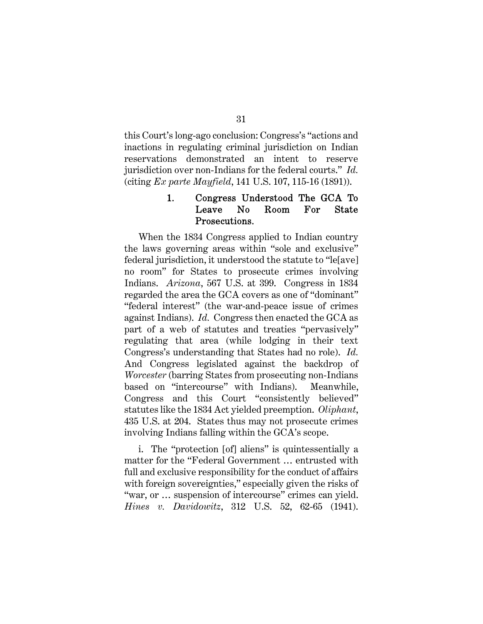this Court's long-ago conclusion: Congress's "actions and inactions in regulating criminal jurisdiction on Indian reservations demonstrated an intent to reserve jurisdiction over non-Indians for the federal courts." Id. (citing Ex parte Mayfield, 141 U.S. 107, 115-16 (1891)).

#### 1. Congress Understood The GCA To Leave N<sub>o</sub> For Room **State** Prosecutions.

When the 1834 Congress applied to Indian country the laws governing areas within "sole and exclusive" federal jurisdiction, it understood the statute to "le[ave] no room" for States to prosecute crimes involving Indians. Arizona, 567 U.S. at 399. Congress in 1834 regarded the area the GCA covers as one of "dominant" "federal interest" (the war-and-peace issue of crimes against Indians). Id. Congress then enacted the GCA as part of a web of statutes and treaties "pervasively" regulating that area (while lodging in their text Congress's understanding that States had no role). Id. And Congress legislated against the backdrop of Worcester (barring States from prosecuting non-Indians based on "intercourse" with Indians). Meanwhile, Congress and this Court "consistently believed" statutes like the 1834 Act yielded preemption. Oliphant, 435 U.S. at 204. States thus may not prosecute crimes involving Indians falling within the GCA's scope.

i. The "protection [of] aliens" is quintessentially a matter for the "Federal Government … entrusted with full and exclusive responsibility for the conduct of affairs with foreign sovereignties," especially given the risks of "war, or ... suspension of intercourse" crimes can yield. Hines v. Davidowitz, 312 U.S. 52, 62-65 (1941).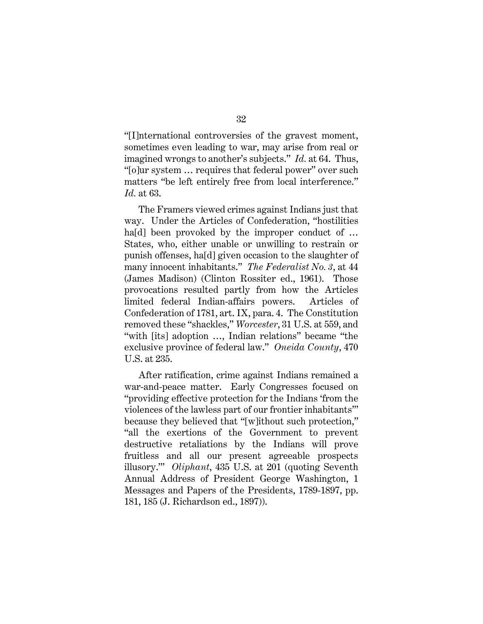"[I]nternational controversies of the gravest moment, sometimes even leading to war, may arise from real or imagined wrongs to another's subjects." Id. at 64. Thus, "[o]ur system … requires that federal power" over such matters "be left entirely free from local interference." Id. at 63.

The Framers viewed crimes against Indians just that way. Under the Articles of Confederation, "hostilities ha<sup>[d]</sup> been provoked by the improper conduct of ... States, who, either unable or unwilling to restrain or punish offenses, ha[d] given occasion to the slaughter of many innocent inhabitants." The Federalist No. 3, at 44 (James Madison) (Clinton Rossiter ed., 1961). Those provocations resulted partly from how the Articles limited federal Indian-affairs powers. Articles of Confederation of 1781, art. IX, para. 4. The Constitution removed these "shackles," Worcester, 31 U.S. at 559, and "with [its] adoption …, Indian relations" became "the exclusive province of federal law." Oneida County, 470 U.S. at 235.

After ratification, crime against Indians remained a war-and-peace matter. Early Congresses focused on "providing effective protection for the Indians 'from the violences of the lawless part of our frontier inhabitants'" because they believed that "[w]ithout such protection," "all the exertions of the Government to prevent destructive retaliations by the Indians will prove fruitless and all our present agreeable prospects illusory.'" Oliphant, 435 U.S. at 201 (quoting Seventh Annual Address of President George Washington, 1 Messages and Papers of the Presidents, 1789-1897, pp. 181, 185 (J. Richardson ed., 1897)).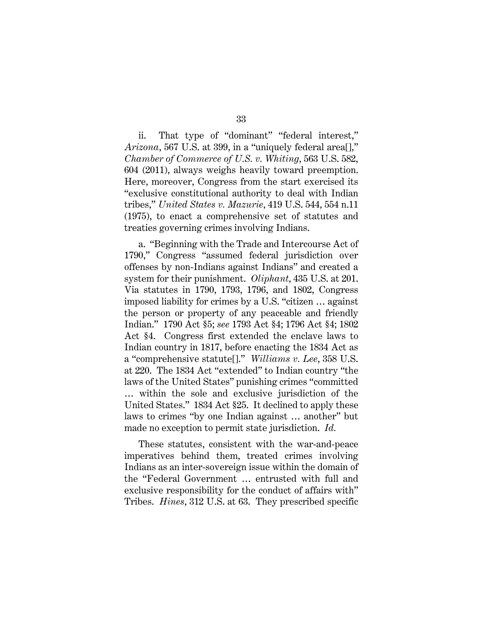ii. That type of "dominant" "federal interest," Arizona, 567 U.S. at 399, in a "uniquely federal area<sup>[]</sup>," Chamber of Commerce of U.S. v. Whiting, 563 U.S. 582, 604 (2011), always weighs heavily toward preemption. Here, moreover, Congress from the start exercised its "exclusive constitutional authority to deal with Indian tribes," United States v. Mazurie, 419 U.S. 544, 554 n.11 (1975), to enact a comprehensive set of statutes and

treaties governing crimes involving Indians.

a. "Beginning with the Trade and Intercourse Act of 1790," Congress "assumed federal jurisdiction over offenses by non-Indians against Indians" and created a system for their punishment. Oliphant, 435 U.S. at 201. Via statutes in 1790, 1793, 1796, and 1802, Congress imposed liability for crimes by a U.S. "citizen … against the person or property of any peaceable and friendly Indian." 1790 Act §5; see 1793 Act §4; 1796 Act §4; 1802 Act §4. Congress first extended the enclave laws to Indian country in 1817, before enacting the 1834 Act as a "comprehensive statute[]." Williams v. Lee, 358 U.S. at 220. The 1834 Act "extended" to Indian country "the laws of the United States" punishing crimes "committed … within the sole and exclusive jurisdiction of the United States." 1834 Act §25. It declined to apply these laws to crimes "by one Indian against … another" but made no exception to permit state jurisdiction. Id.

These statutes, consistent with the war-and-peace imperatives behind them, treated crimes involving Indians as an inter-sovereign issue within the domain of the "Federal Government … entrusted with full and exclusive responsibility for the conduct of affairs with" Tribes. Hines, 312 U.S. at 63. They prescribed specific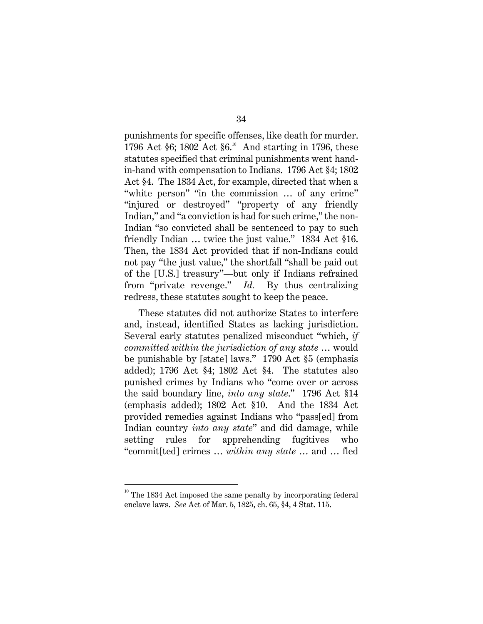punishments for specific offenses, like death for murder. 1796 Act §6; 1802 Act §6.<sup>10</sup> And starting in 1796, these statutes specified that criminal punishments went handin-hand with compensation to Indians. 1796 Act §4; 1802 Act §4. The 1834 Act, for example, directed that when a "white person" "in the commission … of any crime" "injured or destroyed" "property of any friendly Indian," and "a conviction is had for such crime," the non-Indian "so convicted shall be sentenced to pay to such friendly Indian … twice the just value." 1834 Act §16. Then, the 1834 Act provided that if non-Indians could not pay "the just value," the shortfall "shall be paid out of the [U.S.] treasury"—but only if Indians refrained from "private revenge." Id. By thus centralizing redress, these statutes sought to keep the peace.

These statutes did not authorize States to interfere and, instead, identified States as lacking jurisdiction. Several early statutes penalized misconduct "which, if committed within the jurisdiction of any state … would be punishable by [state] laws." 1790 Act §5 (emphasis added); 1796 Act §4; 1802 Act §4. The statutes also punished crimes by Indians who "come over or across the said boundary line, into any state." 1796 Act §14 (emphasis added); 1802 Act §10. And the 1834 Act provided remedies against Indians who "pass[ed] from Indian country into any state" and did damage, while setting rules for apprehending fugitives who "commit[ted] crimes … within any state … and … fled

 $10^{\circ}$  The 1834 Act imposed the same penalty by incorporating federal enclave laws. See Act of Mar. 5, 1825, ch. 65, §4, 4 Stat. 115.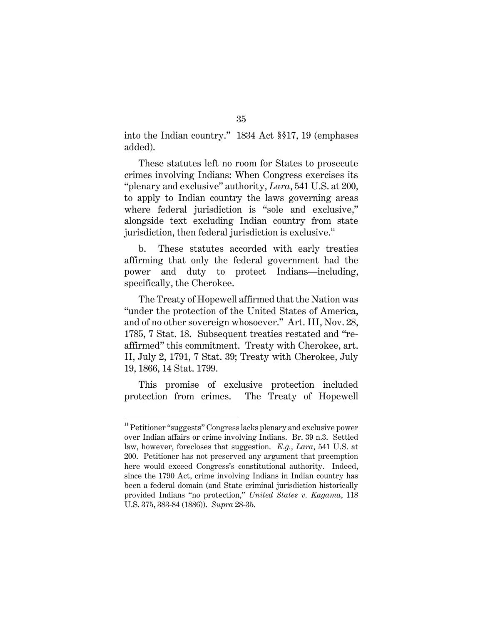into the Indian country." 1834 Act §§17, 19 (emphases added).

These statutes left no room for States to prosecute crimes involving Indians: When Congress exercises its "plenary and exclusive" authority,  $Lara$ , 541 U.S. at 200, to apply to Indian country the laws governing areas where federal jurisdiction is "sole and exclusive." alongside text excluding Indian country from state jurisdiction, then federal jurisdiction is exclusive. $\mathbf{u}$ 

b. These statutes accorded with early treaties affirming that only the federal government had the power and duty to protect Indians—including, specifically, the Cherokee.

The Treaty of Hopewell affirmed that the Nation was "under the protection of the United States of America, and of no other sovereign whosoever." Art. III, Nov. 28, 1785, 7 Stat. 18. Subsequent treaties restated and "reaffirmed" this commitment. Treaty with Cherokee, art. II, July 2, 1791, 7 Stat. 39; Treaty with Cherokee, July 19, 1866, 14 Stat. 1799.

This promise of exclusive protection included protection from crimes. The Treaty of Hopewell

<sup>&</sup>lt;sup>11</sup> Petitioner "suggests" Congress lacks plenary and exclusive power over Indian affairs or crime involving Indians. Br. 39 n.3. Settled law, however, forecloses that suggestion. E.g., Lara, 541 U.S. at 200. Petitioner has not preserved any argument that preemption here would exceed Congress's constitutional authority. Indeed, since the 1790 Act, crime involving Indians in Indian country has been a federal domain (and State criminal jurisdiction historically provided Indians "no protection," United States v. Kagama, 118 U.S. 375, 383-84 (1886)). Supra 28-35.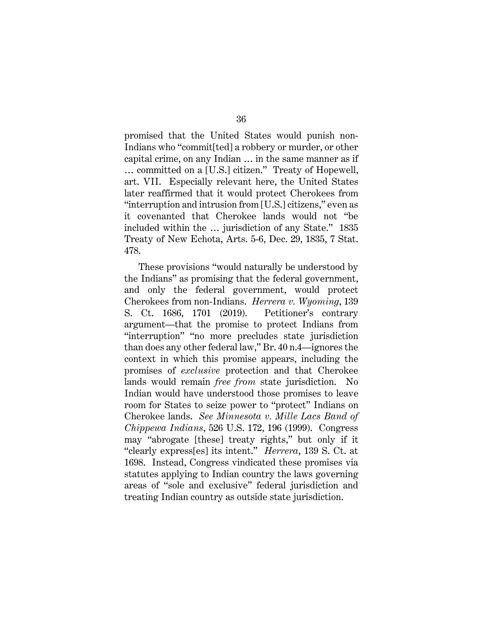promised that the United States would punish non-Indians who "commit[ted] a robbery or murder, or other capital crime, on any Indian … in the same manner as if … committed on a [U.S.] citizen." Treaty of Hopewell, art. VII. Especially relevant here, the United States later reaffirmed that it would protect Cherokees from "interruption and intrusion from [U.S.] citizens," even as it covenanted that Cherokee lands would not "be included within the … jurisdiction of any State." 1835 Treaty of New Echota, Arts. 5-6, Dec. 29, 1835, 7 Stat. 478.

These provisions "would naturally be understood by the Indians" as promising that the federal government, and only the federal government, would protect Cherokees from non-Indians. Herrera v. Wyoming, 139 S. Ct. 1686, 1701 (2019). Petitioner's contrary argument—that the promise to protect Indians from "interruption" "no more precludes state jurisdiction than does any other federal law," Br. 40 n.4—ignores the context in which this promise appears, including the promises of exclusive protection and that Cherokee lands would remain free from state jurisdiction. No Indian would have understood those promises to leave room for States to seize power to "protect" Indians on Cherokee lands. See Minnesota v. Mille Lacs Band of Chippewa Indians, 526 U.S. 172, 196 (1999). Congress may "abrogate [these] treaty rights," but only if it "clearly express[es] its intent." Herrera, 139 S. Ct. at 1698. Instead, Congress vindicated these promises via statutes applying to Indian country the laws governing areas of "sole and exclusive" federal jurisdiction and treating Indian country as outside state jurisdiction.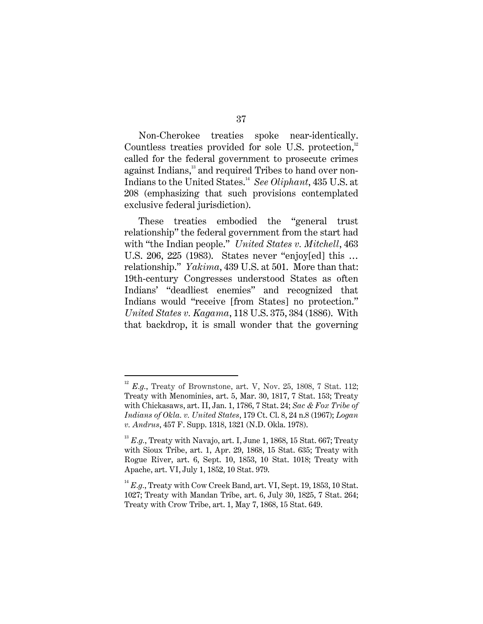Non-Cherokee treaties spoke near-identically. Countless treaties provided for sole U.S. protection, $12$ called for the federal government to prosecute crimes against Indians,<sup>13</sup> and required Tribes to hand over non-Indians to the United States.<sup>14</sup> See Oliphant, 435 U.S. at 208 (emphasizing that such provisions contemplated exclusive federal jurisdiction).

These treaties embodied the "general trust relationship" the federal government from the start had with "the Indian people." United States v. Mitchell, 463 U.S. 206, 225 (1983). States never "enjoy[ed] this … relationship." Yakima, 439 U.S. at 501. More than that: 19th-century Congresses understood States as often Indians' "deadliest enemies" and recognized that Indians would "receive [from States] no protection." United States v. Kagama, 118 U.S. 375, 384 (1886). With that backdrop, it is small wonder that the governing

 $12$  E.g., Treaty of Brownstone, art. V, Nov. 25, 1808, 7 Stat. 112; Treaty with Menominies, art. 5, Mar. 30, 1817, 7 Stat. 153; Treaty with Chickasaws, art. II, Jan. 1, 1786, 7 Stat. 24; Sac & Fox Tribe of Indians of Okla. v. United States, 179 Ct. Cl. 8, 24 n.8 (1967); Logan v. Andrus, 457 F. Supp. 1318, 1321 (N.D. Okla. 1978).

 $^{13}$  E.g., Treaty with Navajo, art. I, June 1, 1868, 15 Stat. 667; Treaty with Sioux Tribe, art. 1, Apr. 29, 1868, 15 Stat. 635; Treaty with Rogue River, art. 6, Sept. 10, 1853, 10 Stat. 1018; Treaty with Apache, art. VI, July 1, 1852, 10 Stat. 979.

 $14$  E.g., Treaty with Cow Creek Band, art. VI, Sept. 19, 1853, 10 Stat. 1027; Treaty with Mandan Tribe, art. 6, July 30, 1825, 7 Stat. 264; Treaty with Crow Tribe, art. 1, May 7, 1868, 15 Stat. 649.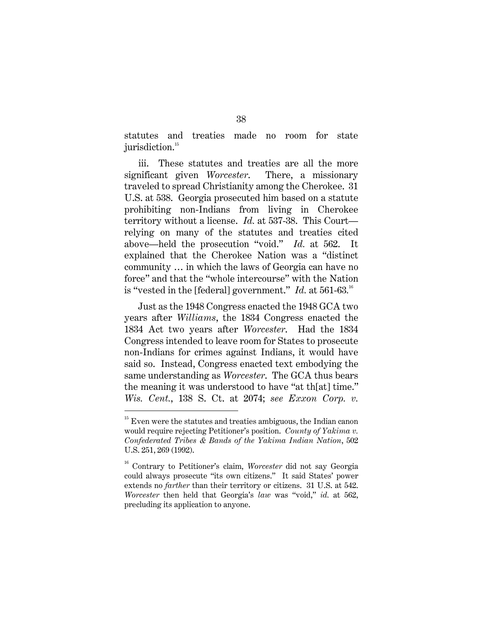statutes and treaties made no room for state jurisdiction.<sup>15</sup>

iii. These statutes and treaties are all the more significant given *Worcester*. There, a missionary traveled to spread Christianity among the Cherokee. 31 U.S. at 538. Georgia prosecuted him based on a statute prohibiting non-Indians from living in Cherokee territory without a license. Id. at 537-38. This Court relying on many of the statutes and treaties cited above—held the prosecution "void." Id. at 562. It explained that the Cherokee Nation was a "distinct community … in which the laws of Georgia can have no force" and that the "whole intercourse" with the Nation is "vested in the [federal] government."  $\mathit{Id.}~$  at  $561\text{-}63.^\text{\tiny{16}}$ 

Just as the 1948 Congress enacted the 1948 GCA two years after Williams, the 1834 Congress enacted the 1834 Act two years after Worcester. Had the 1834 Congress intended to leave room for States to prosecute non-Indians for crimes against Indians, it would have said so. Instead, Congress enacted text embodying the same understanding as Worcester. The GCA thus bears the meaning it was understood to have "at th[at] time." Wis. Cent., 138 S. Ct. at 2074; see Exxon Corp. v.

<sup>&</sup>lt;sup>15</sup> Even were the statutes and treaties ambiguous, the Indian canon would require rejecting Petitioner's position. County of Yakima v. Confederated Tribes & Bands of the Yakima Indian Nation, 502 U.S. 251, 269 (1992).

<sup>&</sup>lt;sup>16</sup> Contrary to Petitioner's claim, Worcester did not say Georgia could always prosecute "its own citizens." It said States' power extends no farther than their territory or citizens. 31 U.S. at 542. Worcester then held that Georgia's law was "void," id. at 562, precluding its application to anyone.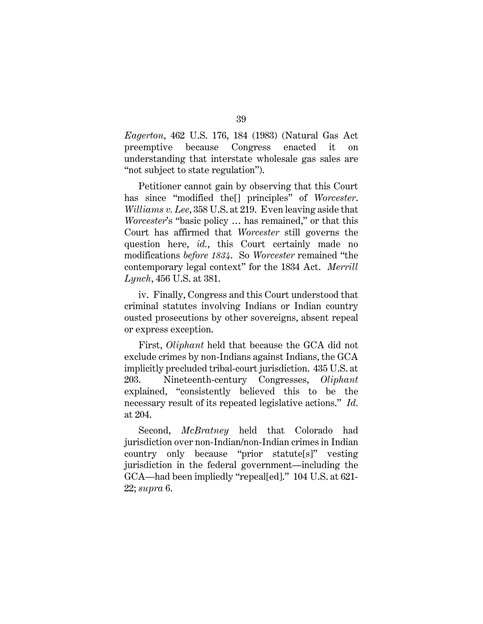Eagerton, 462 U.S. 176, 184 (1983) (Natural Gas Act preemptive because Congress enacted it on understanding that interstate wholesale gas sales are "not subject to state regulation").

Petitioner cannot gain by observing that this Court has since "modified the<sup>[]</sup> principles" of Worcester. Williams v. Lee, 358 U.S. at 219. Even leaving aside that Worcester's "basic policy … has remained," or that this Court has affirmed that Worcester still governs the question here, *id.*, this Court certainly made no modifications before 1834. So Worcester remained "the contemporary legal context" for the 1834 Act. Merrill Lynch, 456 U.S. at 381.

iv. Finally, Congress and this Court understood that criminal statutes involving Indians or Indian country ousted prosecutions by other sovereigns, absent repeal or express exception.

First, Oliphant held that because the GCA did not exclude crimes by non-Indians against Indians, the GCA implicitly precluded tribal-court jurisdiction. 435 U.S. at 203. Nineteenth-century Congresses, Oliphant explained, "consistently believed this to be the necessary result of its repeated legislative actions." Id. at 204.

Second, *McBratney* held that Colorado had jurisdiction over non-Indian/non-Indian crimes in Indian country only because "prior statute[s]" vesting jurisdiction in the federal government—including the GCA—had been impliedly "repeal[ed]." 104 U.S. at 621- 22; supra 6.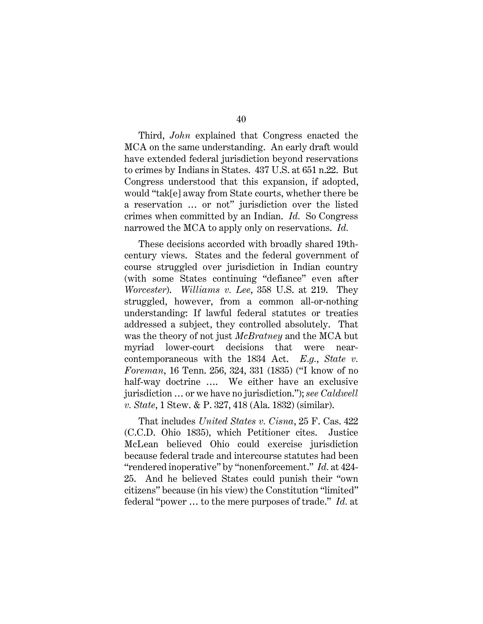40

Third, John explained that Congress enacted the MCA on the same understanding. An early draft would have extended federal jurisdiction beyond reservations to crimes by Indians in States. 437 U.S. at 651 n.22. But Congress understood that this expansion, if adopted, would "tak[e] away from State courts, whether there be a reservation … or not" jurisdiction over the listed crimes when committed by an Indian. Id. So Congress narrowed the MCA to apply only on reservations. Id.

These decisions accorded with broadly shared 19thcentury views. States and the federal government of course struggled over jurisdiction in Indian country (with some States continuing "defiance" even after Worcester). Williams v. Lee, 358 U.S. at 219. They struggled, however, from a common all-or-nothing understanding: If lawful federal statutes or treaties addressed a subject, they controlled absolutely. That was the theory of not just *McBratney* and the MCA but myriad lower-court decisions that were nearcontemporaneous with the 1834 Act.  $E.q., State$  v. Foreman, 16 Tenn. 256, 324, 331 (1835) ("I know of no half-way doctrine .... We either have an exclusive jurisdiction … or we have no jurisdiction."); see Caldwell v. State, 1 Stew. & P. 327, 418 (Ala. 1832) (similar).

That includes United States v. Cisna, 25 F. Cas. 422 (C.C.D. Ohio 1835), which Petitioner cites. Justice McLean believed Ohio could exercise jurisdiction because federal trade and intercourse statutes had been "rendered inoperative" by "nonenforcement." Id. at 424-25. And he believed States could punish their "own citizens" because (in his view) the Constitution "limited" federal "power … to the mere purposes of trade." Id. at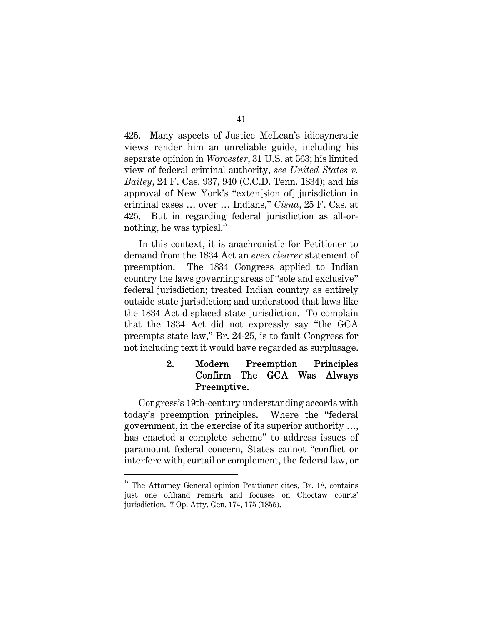425. Many aspects of Justice McLean's idiosyncratic views render him an unreliable guide, including his separate opinion in Worcester, 31 U.S. at 563; his limited view of federal criminal authority, see United States v. Bailey, 24 F. Cas. 937, 940 (C.C.D. Tenn. 1834); and his approval of New York's "exten[sion of] jurisdiction in criminal cases … over … Indians," Cisna, 25 F. Cas. at 425. But in regarding federal jurisdiction as all-ornothing, he was typical. $\mathbf{I}^{\mathsf{T}}$ 

In this context, it is anachronistic for Petitioner to demand from the 1834 Act an even clearer statement of preemption. The 1834 Congress applied to Indian country the laws governing areas of "sole and exclusive" federal jurisdiction; treated Indian country as entirely outside state jurisdiction; and understood that laws like the 1834 Act displaced state jurisdiction. To complain that the 1834 Act did not expressly say "the GCA preempts state law," Br. 24-25, is to fault Congress for not including text it would have regarded as surplusage.

#### $2.$ Modern Preemption Principles Confirm The GCA Was Always Preemptive.

Congress's 19th-century understanding accords with today's preemption principles. Where the "federal government, in the exercise of its superior authority …, has enacted a complete scheme" to address issues of paramount federal concern, States cannot "conflict or interfere with, curtail or complement, the federal law, or

 $17$  The Attorney General opinion Petitioner cites, Br. 18, contains just one offhand remark and focuses on Choctaw courts' jurisdiction. 7 Op. Atty. Gen. 174, 175 (1855).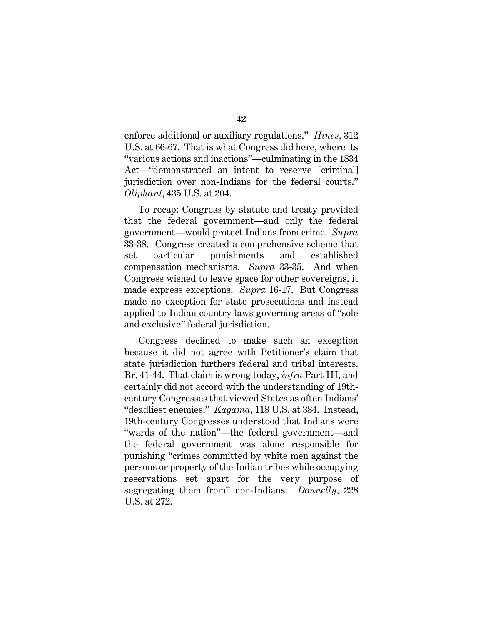enforce additional or auxiliary regulations." *Hines*, 312 U.S. at 66-67. That is what Congress did here, where its "various actions and inactions"—culminating in the 1834 Act—"demonstrated an intent to reserve [criminal] jurisdiction over non-Indians for the federal courts." Oliphant, 435 U.S. at 204.

To recap: Congress by statute and treaty provided that the federal government—and only the federal government—would protect Indians from crime. Supra 33-38. Congress created a comprehensive scheme that set particular punishments and established compensation mechanisms. Supra 33-35. And when Congress wished to leave space for other sovereigns, it made express exceptions. Supra 16-17. But Congress made no exception for state prosecutions and instead applied to Indian country laws governing areas of "sole and exclusive" federal jurisdiction.

Congress declined to make such an exception because it did not agree with Petitioner's claim that state jurisdiction furthers federal and tribal interests. Br. 41-44. That claim is wrong today, infra Part III, and certainly did not accord with the understanding of 19thcentury Congresses that viewed States as often Indians' "deadliest enemies." Kagama, 118 U.S. at 384. Instead, 19th-century Congresses understood that Indians were "wards of the nation"—the federal government—and the federal government was alone responsible for punishing "crimes committed by white men against the persons or property of the Indian tribes while occupying reservations set apart for the very purpose of segregating them from" non-Indians. Donnelly, 228 U.S. at 272.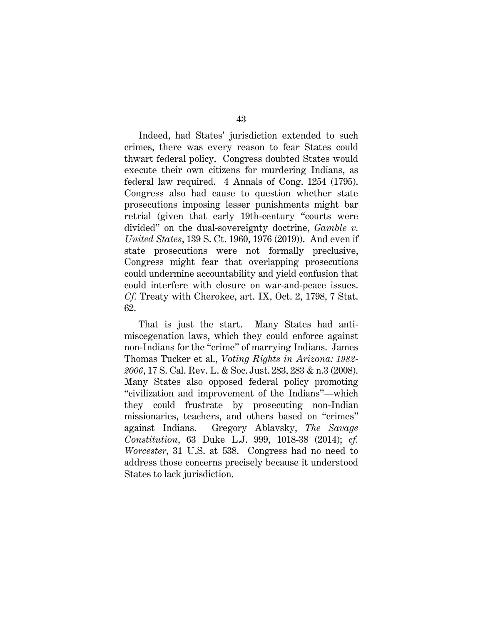Indeed, had States' jurisdiction extended to such crimes, there was every reason to fear States could thwart federal policy. Congress doubted States would execute their own citizens for murdering Indians, as federal law required. 4 Annals of Cong. 1254 (1795). Congress also had cause to question whether state prosecutions imposing lesser punishments might bar retrial (given that early 19th-century "courts were divided" on the dual-sovereignty doctrine, Gamble v. United States, 139 S. Ct. 1960, 1976 (2019)). And even if state prosecutions were not formally preclusive, Congress might fear that overlapping prosecutions could undermine accountability and yield confusion that could interfere with closure on war-and-peace issues. Cf. Treaty with Cherokee, art. IX, Oct. 2, 1798, 7 Stat. 62.

That is just the start. Many States had antimiscegenation laws, which they could enforce against non-Indians for the "crime" of marrying Indians. James Thomas Tucker et al., Voting Rights in Arizona: 1982- 2006, 17 S. Cal. Rev. L. & Soc. Just. 283, 283 & n.3 (2008). Many States also opposed federal policy promoting "civilization and improvement of the Indians"—which they could frustrate by prosecuting non-Indian missionaries, teachers, and others based on "crimes" against Indians. Gregory Ablavsky, The Savage Constitution, 63 Duke L.J. 999, 1018-38 (2014); cf. Worcester, 31 U.S. at 538. Congress had no need to address those concerns precisely because it understood States to lack jurisdiction.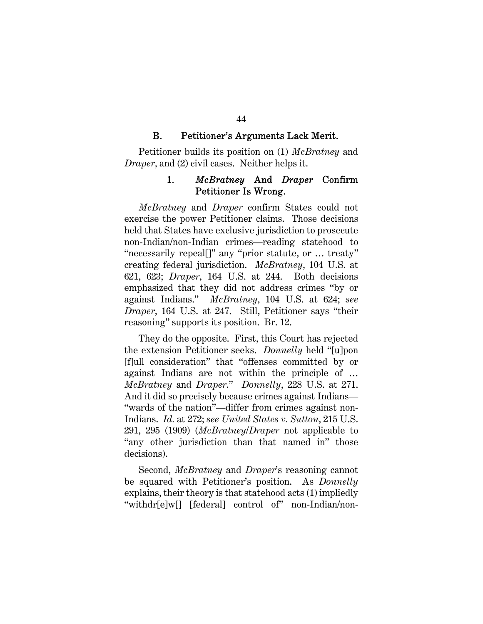#### **B.** Petitioner's Arguments Lack Merit.

Petitioner builds its position on (1) McBratney and Draper, and (2) civil cases. Neither helps it.

#### McBratney And Draper Confirm 1. Petitioner Is Wrong.

McBratney and Draper confirm States could not exercise the power Petitioner claims. Those decisions held that States have exclusive jurisdiction to prosecute non-Indian/non-Indian crimes—reading statehood to "necessarily repeal[]" any "prior statute, or … treaty" creating federal jurisdiction. McBratney, 104 U.S. at 621, 623; Draper, 164 U.S. at 244. Both decisions emphasized that they did not address crimes "by or against Indians." McBratney, 104 U.S. at 624; see Draper, 164 U.S. at 247. Still, Petitioner says "their reasoning" supports its position. Br. 12.

They do the opposite. First, this Court has rejected the extension Petitioner seeks. Donnelly held "[u]pon [f]ull consideration" that "offenses committed by or against Indians are not within the principle of … McBratney and Draper." Donnelly, 228 U.S. at 271. And it did so precisely because crimes against Indians— "wards of the nation"—differ from crimes against non-Indians. Id. at 272; see United States v. Sutton, 215 U.S. 291, 295 (1909) (McBratney/Draper not applicable to "any other jurisdiction than that named in" those decisions).

Second, *McBratney* and *Draper's* reasoning cannot be squared with Petitioner's position. As Donnelly explains, their theory is that statehood acts (1) impliedly "withdr[e]w[] [federal] control of" non-Indian/non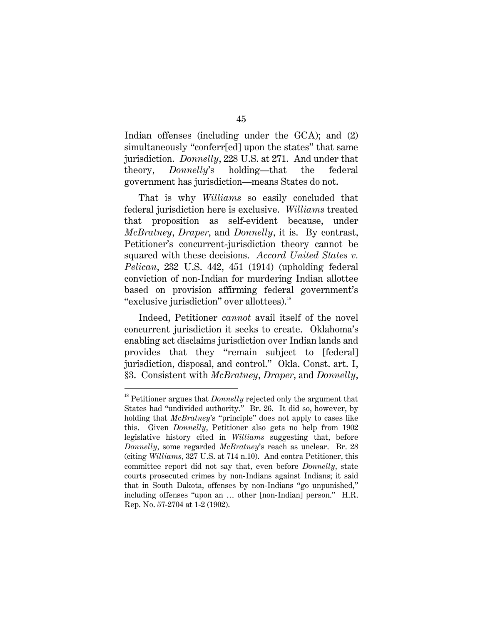Indian offenses (including under the GCA); and (2) simultaneously "conferr[ed] upon the states" that same jurisdiction. Donnelly, 228 U.S. at 271. And under that theory, Donnelly's holding—that the federal government has jurisdiction—means States do not.

That is why *Williams* so easily concluded that federal jurisdiction here is exclusive. Williams treated that proposition as self-evident because, under McBratney, Draper, and Donnelly, it is. By contrast, Petitioner's concurrent-jurisdiction theory cannot be squared with these decisions. Accord United States v. Pelican, 232 U.S. 442, 451 (1914) (upholding federal conviction of non-Indian for murdering Indian allottee based on provision affirming federal government's "exclusive jurisdiction" over allottees).<sup>18</sup>

Indeed, Petitioner cannot avail itself of the novel concurrent jurisdiction it seeks to create. Oklahoma's enabling act disclaims jurisdiction over Indian lands and provides that they "remain subject to [federal] jurisdiction, disposal, and control." Okla. Const. art. I, §3. Consistent with McBratney, Draper, and Donnelly,

<sup>&</sup>lt;sup>18</sup> Petitioner argues that *Donnelly* rejected only the argument that States had "undivided authority." Br. 26. It did so, however, by holding that *McBratney's* "principle" does not apply to cases like this. Given Donnelly, Petitioner also gets no help from 1902 legislative history cited in Williams suggesting that, before Donnelly, some regarded McBratney's reach as unclear. Br. 28 (citing Williams, 327 U.S. at 714 n.10). And contra Petitioner, this committee report did not say that, even before Donnelly, state courts prosecuted crimes by non-Indians against Indians; it said that in South Dakota, offenses by non-Indians "go unpunished," including offenses "upon an … other [non-Indian] person." H.R. Rep. No. 57-2704 at 1-2 (1902).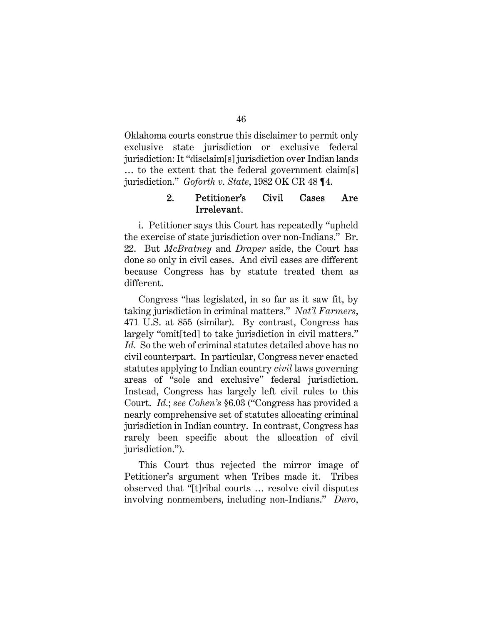Oklahoma courts construe this disclaimer to permit only exclusive state jurisdiction or exclusive federal jurisdiction: It "disclaim[s] jurisdiction over Indian lands … to the extent that the federal government claim[s] jurisdiction." Goforth v. State, 1982 OK CR 48 ¶4.

#### $2.$ Petitioner's Civil Cases Are Irrelevant.

i. Petitioner says this Court has repeatedly "upheld the exercise of state jurisdiction over non-Indians." Br. 22. But *McBratney* and *Draper* aside, the Court has done so only in civil cases. And civil cases are different because Congress has by statute treated them as different.

Congress "has legislated, in so far as it saw fit, by taking jurisdiction in criminal matters." Nat'l Farmers, 471 U.S. at 855 (similar). By contrast, Congress has largely "omit[ted] to take jurisdiction in civil matters." Id. So the web of criminal statutes detailed above has no civil counterpart. In particular, Congress never enacted statutes applying to Indian country civil laws governing areas of "sole and exclusive" federal jurisdiction. Instead, Congress has largely left civil rules to this Court. Id.; see Cohen's §6.03 ("Congress has provided a nearly comprehensive set of statutes allocating criminal jurisdiction in Indian country. In contrast, Congress has rarely been specific about the allocation of civil jurisdiction.").

This Court thus rejected the mirror image of Petitioner's argument when Tribes made it. Tribes observed that "[t]ribal courts … resolve civil disputes involving nonmembers, including non-Indians." Duro,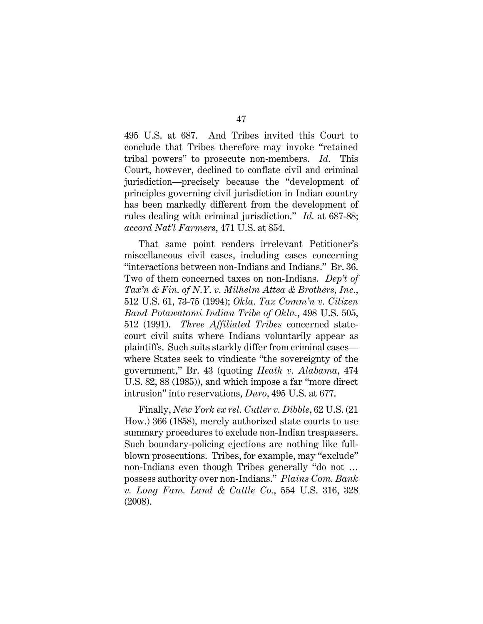495 U.S. at 687. And Tribes invited this Court to conclude that Tribes therefore may invoke "retained tribal powers" to prosecute non-members. Id. This Court, however, declined to conflate civil and criminal jurisdiction—precisely because the "development of principles governing civil jurisdiction in Indian country has been markedly different from the development of rules dealing with criminal jurisdiction." Id. at 687-88; accord Nat'l Farmers, 471 U.S. at 854.

That same point renders irrelevant Petitioner's miscellaneous civil cases, including cases concerning "interactions between non-Indians and Indians." Br. 36. Two of them concerned taxes on non-Indians. Dep't of Tax'n & Fin. of N.Y. v. Milhelm Attea & Brothers, Inc., 512 U.S. 61, 73-75 (1994); Okla. Tax Comm'n v. Citizen Band Potawatomi Indian Tribe of Okla., 498 U.S. 505, 512 (1991). Three Affiliated Tribes concerned statecourt civil suits where Indians voluntarily appear as plaintiffs. Such suits starkly differ from criminal cases where States seek to vindicate "the sovereignty of the government," Br. 43 (quoting Heath v. Alabama, 474 U.S. 82, 88 (1985)), and which impose a far "more direct intrusion" into reservations, Duro, 495 U.S. at 677.

Finally, New York ex rel. Cutler v. Dibble, 62 U.S. (21 How.) 366 (1858), merely authorized state courts to use summary procedures to exclude non-Indian trespassers. Such boundary-policing ejections are nothing like fullblown prosecutions. Tribes, for example, may "exclude" non-Indians even though Tribes generally "do not … possess authority over non-Indians." Plains Com. Bank v. Long Fam. Land & Cattle Co., 554 U.S. 316, 328 (2008).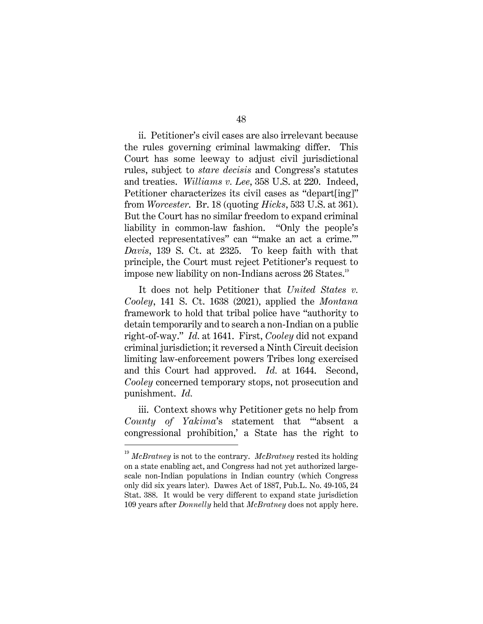ii. Petitioner's civil cases are also irrelevant because the rules governing criminal lawmaking differ. This Court has some leeway to adjust civil jurisdictional rules, subject to stare decisis and Congress's statutes and treaties. Williams v. Lee, 358 U.S. at 220. Indeed, Petitioner characterizes its civil cases as "depart[ing]" from Worcester. Br. 18 (quoting Hicks, 533 U.S. at 361). But the Court has no similar freedom to expand criminal liability in common-law fashion. "Only the people's elected representatives" can "'make an act a crime.'" Davis, 139 S. Ct. at 2325. To keep faith with that principle, the Court must reject Petitioner's request to impose new liability on non-Indians across 26 States.<sup>19</sup>

It does not help Petitioner that United States v. Cooley, 141 S. Ct. 1638 (2021), applied the Montana framework to hold that tribal police have "authority to detain temporarily and to search a non-Indian on a public right-of-way." Id. at 1641. First, Cooley did not expand criminal jurisdiction; it reversed a Ninth Circuit decision limiting law-enforcement powers Tribes long exercised and this Court had approved. Id. at 1644. Second, Cooley concerned temporary stops, not prosecution and punishment. Id.

iii. Context shows why Petitioner gets no help from County of Yakima's statement that "'absent a congressional prohibition,' a State has the right to

 $19$  McBratney is not to the contrary. McBratney rested its holding on a state enabling act, and Congress had not yet authorized largescale non-Indian populations in Indian country (which Congress only did six years later). Dawes Act of 1887, Pub.L. No. 49-105, 24 Stat. 388. It would be very different to expand state jurisdiction 109 years after Donnelly held that McBratney does not apply here.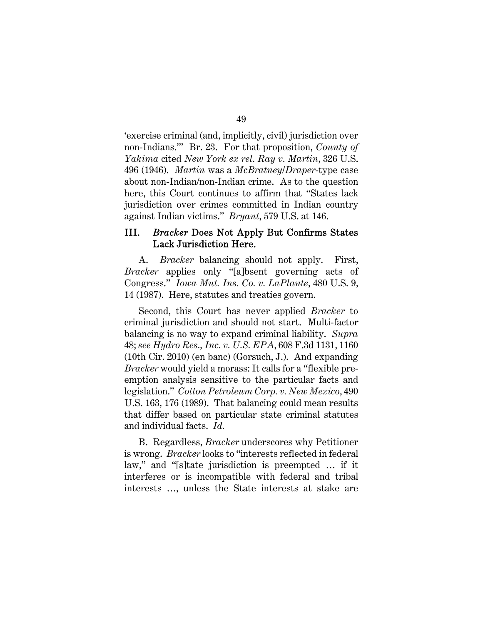'exercise criminal (and, implicitly, civil) jurisdiction over non-Indians.'" Br. 23. For that proposition, County of Yakima cited New York ex rel. Ray v. Martin, 326 U.S. 496 (1946). Martin was a McBratney/Draper-type case about non-Indian/non-Indian crime. As to the question here, this Court continues to affirm that "States lack jurisdiction over crimes committed in Indian country against Indian victims." Bryant, 579 U.S. at 146.

#### III. **Bracker Does Not Apply But Confirms States** Lack Jurisdiction Here.

A. Bracker balancing should not apply. First, Bracker applies only "[a]bsent governing acts of Congress." Iowa Mut. Ins. Co. v. LaPlante, 480 U.S. 9, 14 (1987). Here, statutes and treaties govern.

Second, this Court has never applied Bracker to criminal jurisdiction and should not start. Multi-factor balancing is no way to expand criminal liability. Supra 48; see Hydro Res., Inc. v. U.S. EPA, 608 F.3d 1131, 1160 (10th Cir. 2010) (en banc) (Gorsuch, J.). And expanding Bracker would yield a morass: It calls for a "flexible preemption analysis sensitive to the particular facts and legislation." Cotton Petroleum Corp. v. New Mexico, 490 U.S. 163, 176 (1989). That balancing could mean results that differ based on particular state criminal statutes and individual facts. Id.

B. Regardless, Bracker underscores why Petitioner is wrong. Bracker looks to "interests reflected in federal law," and "[s]tate jurisdiction is preempted … if it interferes or is incompatible with federal and tribal interests …, unless the State interests at stake are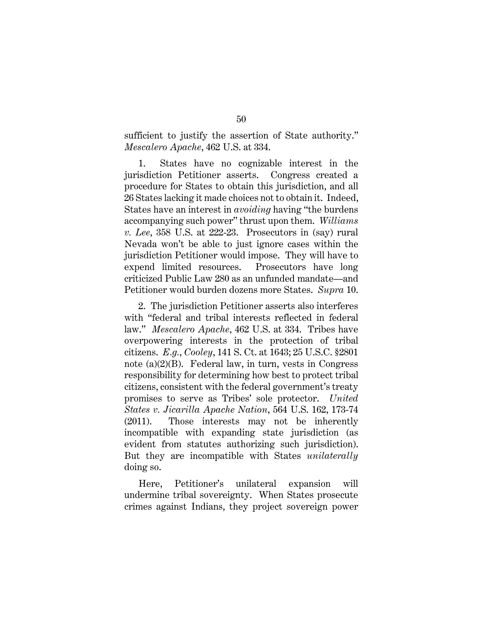sufficient to justify the assertion of State authority." Mescalero Apache, 462 U.S. at 334.

1. States have no cognizable interest in the jurisdiction Petitioner asserts. Congress created a procedure for States to obtain this jurisdiction, and all 26 States lacking it made choices not to obtain it. Indeed, States have an interest in avoiding having "the burdens accompanying such power" thrust upon them. Williams v. Lee, 358 U.S. at 222-23. Prosecutors in (say) rural Nevada won't be able to just ignore cases within the jurisdiction Petitioner would impose. They will have to expend limited resources. Prosecutors have long criticized Public Law 280 as an unfunded mandate—and Petitioner would burden dozens more States. Supra 10.

2. The jurisdiction Petitioner asserts also interferes with "federal and tribal interests reflected in federal law." Mescalero Apache, 462 U.S. at 334. Tribes have overpowering interests in the protection of tribal citizens. E.g., Cooley, 141 S. Ct. at 1643; 25 U.S.C. §2801 note (a)(2)(B). Federal law, in turn, vests in Congress responsibility for determining how best to protect tribal citizens, consistent with the federal government's treaty promises to serve as Tribes' sole protector. United States v. Jicarilla Apache Nation, 564 U.S. 162, 173-74 (2011). Those interests may not be inherently incompatible with expanding state jurisdiction (as evident from statutes authorizing such jurisdiction). But they are incompatible with States *unilaterally* doing so.

Here, Petitioner's unilateral expansion will undermine tribal sovereignty. When States prosecute crimes against Indians, they project sovereign power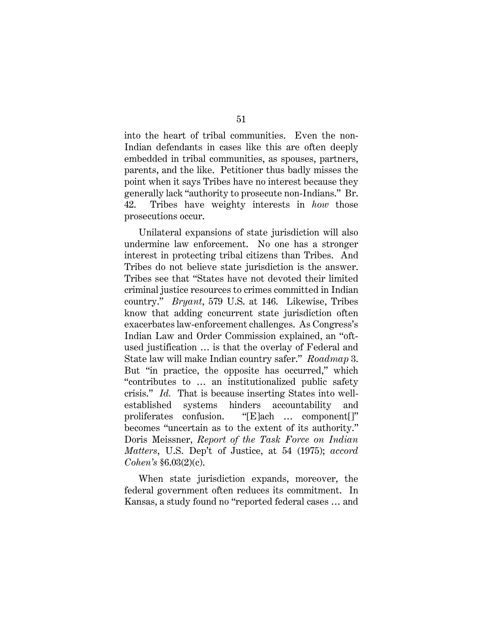into the heart of tribal communities. Even the non-Indian defendants in cases like this are often deeply embedded in tribal communities, as spouses, partners, parents, and the like. Petitioner thus badly misses the point when it says Tribes have no interest because they generally lack "authority to prosecute non-Indians." Br. 42. Tribes have weighty interests in how those prosecutions occur.

Unilateral expansions of state jurisdiction will also undermine law enforcement. No one has a stronger interest in protecting tribal citizens than Tribes. And Tribes do not believe state jurisdiction is the answer. Tribes see that "States have not devoted their limited criminal justice resources to crimes committed in Indian country." Bryant, 579 U.S. at 146. Likewise, Tribes know that adding concurrent state jurisdiction often exacerbates law-enforcement challenges. As Congress's Indian Law and Order Commission explained, an "oftused justification … is that the overlay of Federal and State law will make Indian country safer." Roadmap 3. But "in practice, the opposite has occurred," which "contributes to … an institutionalized public safety crisis." Id. That is because inserting States into wellestablished systems hinders accountability and proliferates confusion. "[E]ach … component[]" becomes "uncertain as to the extent of its authority." Doris Meissner, Report of the Task Force on Indian Matters, U.S. Dep't of Justice, at 54 (1975); accord Cohen's §6.03(2)(c).

When state jurisdiction expands, moreover, the federal government often reduces its commitment. In Kansas, a study found no "reported federal cases … and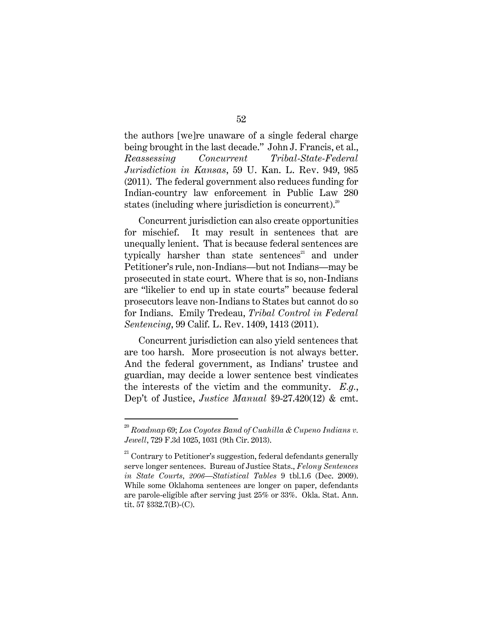the authors [we]re unaware of a single federal charge being brought in the last decade." John J. Francis, et al., Reassessing Concurrent Tribal-State-Federal Jurisdiction in Kansas, 59 U. Kan. L. Rev. 949, 985 (2011). The federal government also reduces funding for Indian-country law enforcement in Public Law 280 states (including where jurisdiction is concurrent).<sup>20</sup>

Concurrent jurisdiction can also create opportunities for mischief. It may result in sentences that are unequally lenient. That is because federal sentences are typically harsher than state sentences $^{21}$  and under Petitioner's rule, non-Indians—but not Indians—may be prosecuted in state court. Where that is so, non-Indians are "likelier to end up in state courts" because federal prosecutors leave non-Indians to States but cannot do so for Indians. Emily Tredeau, Tribal Control in Federal Sentencing, 99 Calif. L. Rev. 1409, 1413 (2011).

Concurrent jurisdiction can also yield sentences that are too harsh. More prosecution is not always better. And the federal government, as Indians' trustee and guardian, may decide a lower sentence best vindicates the interests of the victim and the community. E.g., Dep't of Justice, Justice Manual §9-27.420(12) & cmt.

 $^{20}$  Roadmap 69; Los Coyotes Band of Cuahilla & Cupeno Indians v. Jewell, 729 F.3d 1025, 1031 (9th Cir. 2013).

 $21$  Contrary to Petitioner's suggestion, federal defendants generally serve longer sentences. Bureau of Justice Stats., Felony Sentences in State Courts, 2006—Statistical Tables 9 tbl.1.6 (Dec. 2009). While some Oklahoma sentences are longer on paper, defendants are parole-eligible after serving just 25% or 33%. Okla. Stat. Ann. tit. 57 §332.7(B)-(C).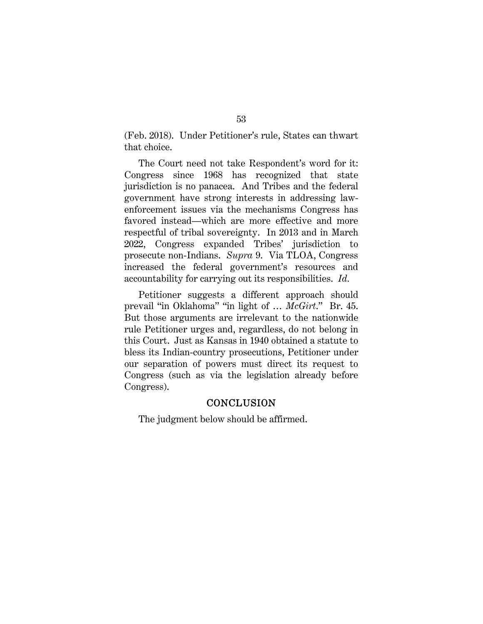(Feb. 2018). Under Petitioner's rule, States can thwart that choice.

The Court need not take Respondent's word for it: Congress since 1968 has recognized that state jurisdiction is no panacea. And Tribes and the federal government have strong interests in addressing lawenforcement issues via the mechanisms Congress has favored instead—which are more effective and more respectful of tribal sovereignty. In 2013 and in March 2022, Congress expanded Tribes' jurisdiction to prosecute non-Indians. Supra 9. Via TLOA, Congress increased the federal government's resources and accountability for carrying out its responsibilities. Id.

Petitioner suggests a different approach should prevail "in Oklahoma" "in light of … McGirt." Br. 45. But those arguments are irrelevant to the nationwide rule Petitioner urges and, regardless, do not belong in this Court. Just as Kansas in 1940 obtained a statute to bless its Indian-country prosecutions, Petitioner under our separation of powers must direct its request to Congress (such as via the legislation already before Congress).

### **CONCLUSION**

The judgment below should be affirmed.